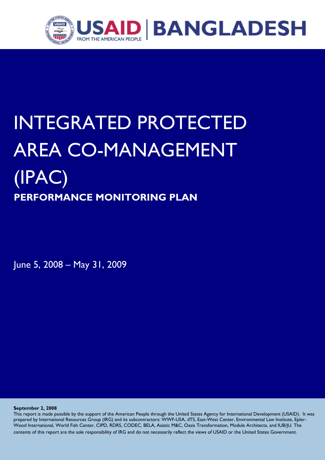

# INTEGRATED PROTECTED AREA CO-MANAGEMENT (IPAC) **PERFORMANCE MONITORING PLAN**

June 5, 2008 – May 31, 2009

**September 2, 2008** 

This report is made possible by the support of the American People through the United States Agency for International Development (USAID). It was prepared by International Resources Group (IRG) and its subcontractors: WWF-USA, dTS, East-West Center, Environmental Law Institute, Epler-Wood International, World Fish Center, CIPD, RDRS, CODEC, BELA, Asiatic M&C, Oasis Transformation, Module Architects, and IUB/JU. The contents of this report are the sole responsibility of IRG and do not necessarily reflect the views of USAID or the United States Government.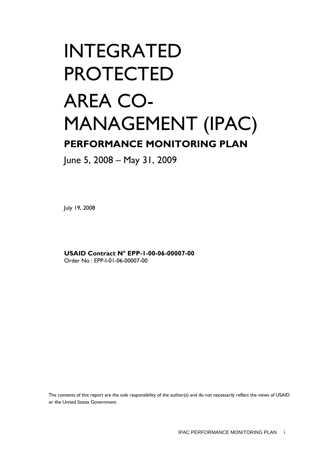# INTEGRATED PROTECTED AREA CO-MANAGEMENT (IPAC) **PERFORMANCE MONITORING PLAN**

June 5, 2008 – May 31, 2009

July 19, 2008

**USAID Contract N° EPP-1-00-06-00007-00**  Order No : EPP-I-01-06-00007-00

The contents of this report are the sole responsibility of the author(s) and do not necessarily reflect the views of USAID or the United States Government.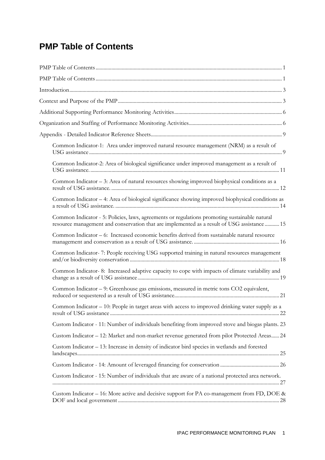# **PMP Table of Contents**

| Common Indicator-1: Area under improved natural resource management (NRM) as a result of                                                                                                     |
|----------------------------------------------------------------------------------------------------------------------------------------------------------------------------------------------|
| Common Indicator-2: Area of biological significance under improved management as a result of                                                                                                 |
| Common Indicator – 3: Area of natural resources showing improved biophysical conditions as a                                                                                                 |
| Common Indicator – 4: Area of biological significance showing improved biophysical conditions as                                                                                             |
| Common Indicator - 5: Policies, laws, agreements or regulations promoting sustainable natural<br>resource management and conservation that are implemented as a result of USG assistance  15 |
| Common Indicator – 6: Increased economic benefits derived from sustainable natural resource                                                                                                  |
| Common Indicator- 7: People receiving USG supported training in natural resources management                                                                                                 |
| Common Indicator-8: Increased adaptive capacity to cope with impacts of climate variability and                                                                                              |
| Common Indicator – 9: Greenhouse gas emissions, measured in metric tons CO2 equivalent,                                                                                                      |
| Common Indicator - 10: People in target areas with access to improved drinking water supply as a                                                                                             |
| Custom Indicator - 11: Number of individuals benefiting from improved stove and biogas plants. 23                                                                                            |
| Custom Indicator - 12: Market and non-market revenue generated from pilot Protected Areas 24                                                                                                 |
| Custom Indicator - 13: Increase in density of indicator bird species in wetlands and forested                                                                                                |
|                                                                                                                                                                                              |
| Custom Indicator - 15: Number of individuals that are aware of a national protected area network.                                                                                            |
| Custom Indicator - 16: More active and decisive support for PA co-management from FD, DOE &                                                                                                  |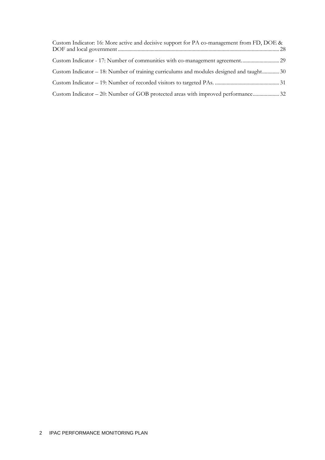| Custom Indicator: 16: More active and decisive support for PA co-management from FD, DOE & |  |
|--------------------------------------------------------------------------------------------|--|
|                                                                                            |  |
| Custom Indicator – 18: Number of training curriculums and modules designed and taught 30   |  |
|                                                                                            |  |
| Custom Indicator – 20: Number of GOB protected areas with improved performance 32          |  |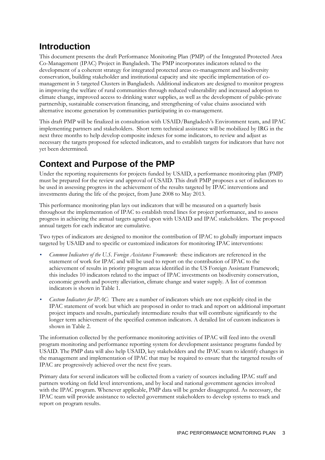# **Introduction**

This document presents the draft Performance Monitoring Plan (PMP) of the Integrated Protected Area Co-Management (IPAC) Project in Bangladesh. The PMP incorporates indicators related to the development of a coherent strategy for integrated protected areas co-management and biodiversity conservation, building stakeholder and institutional capacity and site specific implementation of comanagement in 5 targeted Clusters in Bangladesh. Additional indicators are designed to monitor progress in improving the welfare of rural communities through reduced vulnerability and increased adoption to climate change, improved access to drinking water supplies, as well as the development of public-private partnership, sustainable conservation financing, and strengthening of value chains associated with alternative income generation by communities participating in co-management.

This draft PMP will be finalized in consultation with USAID/Bangladesh's Environment team, and IPAC implementing partners and stakeholders. Short term technical assistance will be mobilized by IRG in the next three months to help develop composite indexes for some indicators, to review and adjust as necessary the targets proposed for selected indicators, and to establish targets for indicators that have not yet been determined.

# **Context and Purpose of the PMP**

Under the reporting requirements for projects funded by USAID, a performance monitoring plan (PMP) must be prepared for the review and approval of USAID. This draft PMP proposes a set of indicators to be used in assessing progress in the achievement of the results targeted by IPAC interventions and investments during the life of the project, from June 2008 to May 2013.

This performance monitoring plan lays out indicators that will be measured on a quarterly basis throughout the implementation of IPAC to establish trend lines for project performance, and to assess progress in achieving the annual targets agreed upon with USAID and IPAC stakeholders. The proposed annual targets for each indicator are cumulative.

Two types of indicators are designed to monitor the contribution of IPAC to globally important impacts targeted by USAID and to specific or customized indicators for monitoring IPAC interventions:

- *Common Indicators of the U.S. Foreign Assistance Framework*: these indicators are referenced in the statement of work for IPAC and will be used to report on the contribution of IPAC to the achievement of results in priority program areas identified in the US Foreign Assistant Framework; this includes 10 indicators related to the impact of IPAC investments on biodiversity conservation, economic growth and poverty alleviation, climate change and water supply. A list of common indicators is shown in Table 1.
- *Custom Indicators for IPAC*: There are a number of indicators which are not explicitly cited in the IPAC statement of work but which are proposed in order to track and report on additional important project impacts and results, particularly intermediate results that will contribute significantly to the longer term achievement of the specified common indicators. A detailed list of custom indicators is shown in Table 2.

The information collected by the performance monitoring activities of IPAC will feed into the overall program monitoring and performance reporting system for development assistance programs funded by USAID. The PMP data will also help USAID, key stakeholders and the IPAC team to identify changes in the management and implementation of IPAC that may be required to ensure that the targeted results of IPAC are progressively achieved over the next five years.

Primary data for several indicators will be collected from a variety of sources including IPAC staff and partners working on field level interventions, and by local and national government agencies involved with the IPAC program. Whenever applicable, PMP data will be gender disaggregated. As necessary, the IPAC team will provide assistance to selected government stakeholders to develop systems to track and report on program results.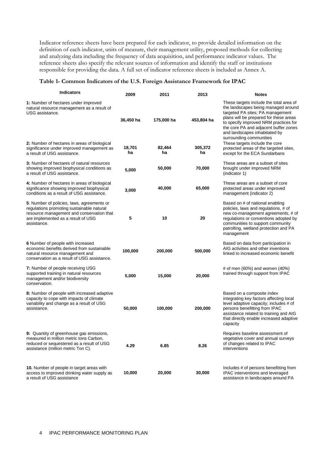Indicator reference sheets have been prepared for each indicator, to provide detailed information on the definition of each indicator, units of measure, their management utility, proposed methods for collecting and analyzing data including the frequency of data acquisition, and performance indicator values. The reference sheets also specify the relevant sources of information and identify the staff or institutions responsible for providing the data. A full set of indicator reference sheets is included as Annex A.

#### **Table 1- Common Indicators of the U.S. Foreign Assistance Framework for IPAC**

| <b>Indicators</b>                                                                                                                                                                         | 2009         | 2011         | 2013          | <b>Notes</b>                                                                                                                                                                                                                                                                                               |
|-------------------------------------------------------------------------------------------------------------------------------------------------------------------------------------------|--------------|--------------|---------------|------------------------------------------------------------------------------------------------------------------------------------------------------------------------------------------------------------------------------------------------------------------------------------------------------------|
| 1: Number of hectares under improved<br>natural resource management as a result of<br>USG assistance.                                                                                     | 36,450 ha    | 175,000 ha   | 453,804 ha    | These targets include the total area of<br>the landscapes being managed around<br>targeted PA sites; PA management<br>plans will be prepared for these areas<br>to specify improved NRM practices for<br>the core PA and adjacent buffer zones<br>and landscapes inhabitated by<br>surrounding communities |
| 2: Number of hectares in areas of biological<br>significance under improved management as<br>a result of USG assistance.                                                                  | 18,701<br>ha | 82,464<br>ha | 305,372<br>ha | These targets include the core<br>protected areas of the targeted sites,<br>except for the ECA Sundarbans                                                                                                                                                                                                  |
| <b>3:</b> Number of hectares of natural resources<br>showing improved biophysical conditions as<br>a result of USG assistance.                                                            | 5,000        | 50,000       | 70,000        | These areas are a subset of sites<br>brought under improved NRM<br>(indicator 1)                                                                                                                                                                                                                           |
| 4: Number of hectares in areas of biological<br>significance showing improved biophysical<br>conditions as a result of USG assistance.                                                    | 3,000        | 40,000       | 65,000        | These areas are a subset of core<br>protected areas under improved<br>management (indicator 2)                                                                                                                                                                                                             |
| 5: Number of policies, laws, agreements or<br>regulations promoting sustainable natural<br>resource management and conservation that<br>are implemented as a result of USG<br>assistance. | 5            | 10           | 20            | Based on # of national enabling<br>policies, laws and regulations, # of<br>new co-management agreements, # of<br>regulations or conventions adopted by<br>communities to support community<br>patrolling, wetland protection and PA<br>management                                                          |
| 6 Number of people with increased<br>economic benefits derived from sustainable<br>natural resource management and<br>conservation as a result of USG assistance.                         | 100,000      | 200,000      | 500,000       | Based on data from participation in<br>AIG activities and other inventions<br>linked to increased economic benefit                                                                                                                                                                                         |
| 7: Number of people receiving USG<br>supported training in natural resources<br>management and/or biodiversity<br>conservation.                                                           | 5,000        | 15,000       | 20,000        | # of men $(60%)$ and women $(40%)$<br>trained through support from IPAC                                                                                                                                                                                                                                    |
| 8: Number of people with increased adaptive<br>capacity to cope with impacts of climate<br>variability and change as a result of USG<br>assistance.                                       | 50,000       | 100,000      | 200,000       | Based on a composite index<br>integrating key factors affecting local<br>level adaptive capacity; includes # of<br>persons benefitting from IPAC<br>assistance related to training and AIG<br>that directly enable increased adaptive<br>capacity                                                          |
| <b>9:</b> Quantity of greenhouse gas emissions.<br>measured in million metric tons Carbon,<br>reduced or sequestered as a result of USG<br>assistance (million metric Ton C).             | 4.29         | 6.85         | 8.26          | Requires baseline assessment of<br>vegetative cover and annual surveys<br>of changes related to IPAC<br>interventions                                                                                                                                                                                      |
| 10. Number of people in target areas with<br>access to improved drinking water supply as<br>a result of USG assistance                                                                    | 10,000       | 20,000       | 30,000        | Includes # of persons benefitting from<br>IPAC interventions and leveraged<br>assistance in landscapes around PA                                                                                                                                                                                           |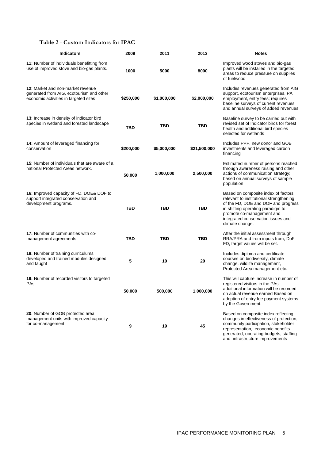## **Table 2 - Custom Indicators for IPAC**

| <b>Indicators</b>                                                                                                             | 2009      | 2011        | 2013         | <b>Notes</b>                                                                                                                                                                                                                                     |
|-------------------------------------------------------------------------------------------------------------------------------|-----------|-------------|--------------|--------------------------------------------------------------------------------------------------------------------------------------------------------------------------------------------------------------------------------------------------|
| 11: Number of individuals benefitting from<br>use of improved stove and bio-gas plants.                                       | 1000      | 5000        | 8000         | Improved wood stoves and bio-gas<br>plants will be installed in the targeted<br>areas to reduce pressure on supplies<br>of fuelwood                                                                                                              |
| <b>12: Market and non-market revenue</b><br>generated from AIG, ecotourism and other<br>economic activities in targeted sites | \$250,000 | \$1,000,000 | \$2,000,000  | Includes revenues generated from AIG<br>support, ecotourism enterprises, PA<br>employment, entry fees; requires<br>baseline surveys of current revenues<br>and annual surveys of added revenues                                                  |
| 13: Increase in density of indicator bird<br>species in wetland and forested landscape                                        | TBD       | TBD         | <b>TBD</b>   | Baseline survey to be carried out with<br>revised set of Indicator birds for forest<br>health and additional bird species<br>selected for wetlands                                                                                               |
| <b>14:</b> Amount of leveraged financing for<br>conservation                                                                  | \$200,000 | \$5,000,000 | \$21,500,000 | Includes PPP, new donor and GOB<br>investments and leveraged carbon<br>financing                                                                                                                                                                 |
| <b>15:</b> Number of individuals that are aware of a<br>national Protected Areas network.                                     | 50,000    | 1,000,000   | 2,500,000    | Estimated number of persons reached<br>through awareness raising and other<br>actions of communication strategy;<br>based on annual surveys of sample<br>population                                                                              |
| 16: Improved capacity of FD, DOE& DOF to<br>support integrated conservation and<br>development programs.                      | TBD       | TBD         | TBD          | Based on composite index of factors<br>relevant to institutional strengthening<br>of the FD, DOE and DOF and progress<br>in shifting operating paradigm to<br>promote co-management and<br>integrated conservation issues and<br>climate change. |
| 17: Number of communities with co-<br>management agreements                                                                   | TBD       | TBD         | TBD          | After the initial assessment through<br>RRA/PRA and from inputs from, DoF<br>FD, target values will be set.                                                                                                                                      |
| 18: Number of training curriculums<br>developed and trained modules designed<br>and taught                                    | 5         | 10          | 20           | Includes diploma and certificate<br>courses on biodiversity, climate<br>change, wildlife management,<br>Protected Area management etc.                                                                                                           |
| 19: Number of recorded visitors to targeted<br>PAs.                                                                           | 50,000    | 500,000     | 1,000,000    | This will capture increase in number of<br>registered visitors in the PAs,<br>additional information will be recorded<br>on actual revenue earned Based on<br>adoption of entry fee payment systems<br>by the Government.                        |
| 20. Number of GOB protected area<br>management units with improved capacity<br>for co-management                              | 9         | 19          | 45           | Based on composite index reflecting<br>changes in effectiveness of protection,<br>community participation, stakeholder<br>representation, economic benefits<br>generated, operating budgets, staffing<br>and infrastructure improvements         |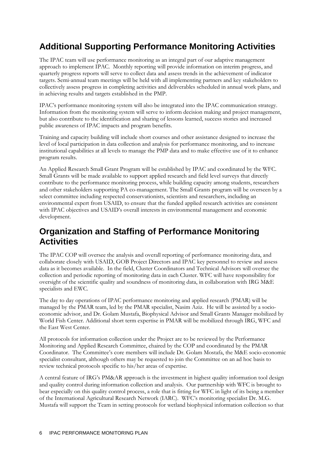# **Additional Supporting Performance Monitoring Activities**

The IPAC team will use performance monitoring as an integral part of our adaptive management approach to implement IPAC. Monthly reporting will provide information on interim progress, and quarterly progress reports will serve to collect data and assess trends in the achievement of indicator targets. Semi-annual team meetings will be held with all implementing partners and key stakeholders to collectively assess progress in completing activities and deliverables scheduled in annual work plans, and in achieving results and targets established in the PMP.

IPAC's performance monitoring system will also be integrated into the IPAC communication strategy. Information from the monitoring system will serve to inform decision making and project management, but also contribute to the identification and sharing of lessons learned, success stories and increased public awareness of IPAC impacts and program benefits.

Training and capacity building will include short courses and other assistance designed to increase the level of local participation in data collection and analysis for performance monitoring, and to increase institutional capabilities at all levels to manage the PMP data and to make effective use of it to enhance program results.

An Applied Research Small Grant Program will be established by IPAC and coordinated by the WFC. Small Grants will be made available to support applied research and field level surveys that directly contribute to the performance monitoring process, while building capacity among students, researchers and other stakeholders supporting PA co-management. The Small Grants program will be overseen by a select committee including respected conservationists, scientists and researchers, including an environmental expert from USAID, to ensure that the funded applied research activities are consistent with IPAC objectives and USAID's overall interests in environmental management and economic development.

## **Organization and Staffing of Performance Monitoring Activities**

The IPAC COP will oversee the analysis and overall reporting of performance monitoring data, and collaborate closely with USAID, GOB Project Directors and IPAC key personnel to review and assess data as it becomes available. In the field, Cluster Coordinators and Technical Advisors will oversee the collection and periodic reporting of monitoring data in each Cluster. WFC will have responsibility for oversight of the scientific quality and soundness of monitoring data, in collaboration with IRG M&E specialists and EWC.

The day to day operations of IPAC performance monitoring and applied research (PMAR) will be managed by the PMAR team, led by the PMAR specialist, Nasim Aziz. He will be assisted by a socioeconomic advisor, and Dr. Golam Mustafa, Biophysical Advisor and Small Grants Manager mobilized by World Fish Center. Additional short term expertise in PMAR will be mobilized through IRG, WFC and the East West Center.

All protocols for information collection under the Project are to be reviewed by the Performance Monitoring and Applied Research Committee, chaired by the COP and coordinated by the PMAR Coordinator. The Committee's core members will include Dr. Golam Mostafa, the M&E socio-economic specialist consultant, although others may be requested to join the Committee on an ad hoc basis to review technical protocols specific to his/her areas of expertise.

A central feature of IRG's PM&AR approach is the investment in highest quality information tool design and quality control during information collection and analysis. Our partnership with WFC is brought to bear especially on this quality control process, a role that is fitting for WFC in light of its being a member of the International Agricultural Research Network (IARC). WFC's monitoring specialist Dr. M.G. Mustafa will support the Team in setting protocols for wetland biophysical information collection so that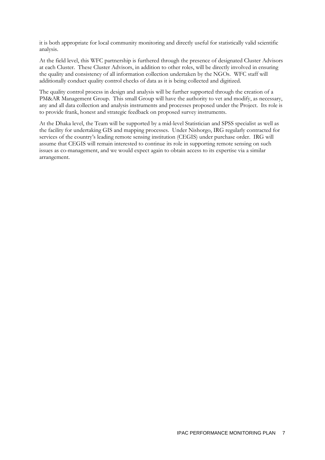it is both appropriate for local community monitoring and directly useful for statistically valid scientific analysis.

At the field level, this WFC partnership is furthered through the presence of designated Cluster Advisors at each Cluster. These Cluster Advisors, in addition to other roles, will be directly involved in ensuring the quality and consistency of all information collection undertaken by the NGOs. WFC staff will additionally conduct quality control checks of data as it is being collected and digitized.

The quality control process in design and analysis will be further supported through the creation of a PM&AR Management Group. This small Group will have the authority to vet and modify, as necessary, any and all data collection and analysis instruments and processes proposed under the Project. Its role is to provide frank, honest and strategic feedback on proposed survey instruments.

At the Dhaka level, the Team will be supported by a mid-level Statistician and SPSS specialist as well as the facility for undertaking GIS and mapping processes. Under Nishorgo, IRG regularly contracted for services of the country's leading remote sensing institution (CEGIS) under purchase order. IRG will assume that CEGIS will remain interested to continue its role in supporting remote sensing on such issues as co-management, and we would expect again to obtain access to its expertise via a similar arrangement.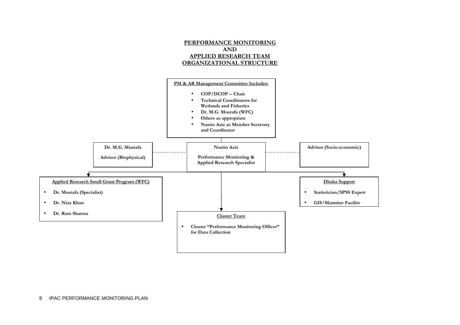

8 IPAC PERFORMANCE MONITORING PLAN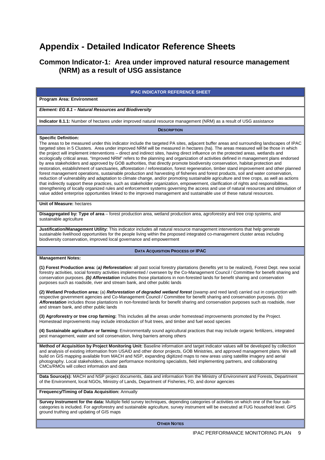# **Appendix - Detailed Indicator Reference Sheets**

## **Common Indicator-1: Area under improved natural resource management (NRM) as a result of USG assistance**

### **IPAC INDICATOR REFERENCE SHEET Program Area: Environment Element: EG 8.1 – Natural Resources and Biodiversity Indicator 8.1.1:** Number of hectares under improved natural resource management (NRM) as a result of USG assistance **DESCRIPTION Specific Definition:**  The areas to be measured under this indicator include the targeted PA sites, adjacent buffer areas and surrounding landscapes of IPAC targeted sites in 5 Clusters. Area under improved NRM will be measured in hectares (ha). The areas measured will be those in which the project will implement interventions – direct and indirect sites, having direct influence on the protected areas, wetlands and ecologically critical areas. "Improved NRM" refers to the planning and organization of activities defined in management plans endorsed by area stakeholders and approved by GOB authorities, that directly promote biodiversity conservation, habitat protection and restoration, establishment of sanctuaries, afforestation / reforestation, forest regeneration, timber stand improvement and other planned forest management operations, sustainable production and harvesting of fisheries and forest products, soil and water conservation, reduction of vulnerability and adaptation to climate change, and/or promoting sustainable agriculture and tree crops, as well as actions that indirectly support these practices, such as stakeholder organization, empowerment, clarification of rights and responsibilities, strengthening of locally organized rules and enforcement systems governing the access and use of natural resources and stimulation of value added enterprise opportunities linked to the improved management and sustainable use of these natural resources. **Unit of Measure:** hectares **Disaggregated by: Type of area** – forest production area, wetland production area, agroforestry and tree crop systems, and sustainable agriculture **Justification/Management Utility:** This indicator includes all natural resource management interventions that help generate sustainable livelihood opportunities for the people living within the proposed integrated co-management cluster areas including biodiversity conservation, improved local governance and empowerment **DATA ACQUISITION PROCESS OF IPAC Management Notes: (1) Forest Production area:** (**a) Reforestation:** all past social forestry plantations (benefits yet to be realized), Forest Dept. new social forestry activities, social forestry activities implemented / overseen by the Co-Management Council / Committee for benefit sharing and conservation purposes. **(b) Afforestation** includes those plantations in non-forested lands for benefit sharing and conservation purposes such as roadside, river and stream bank, and other public lands **(2) Wetland Production area:** (a) **Reforestation of degraded wetland forest** (swamp and reed land) carried out in conjunction with respective government agencies and Co-Management Council / Committee for benefit sharing and conservation purposes. (b) **Afforestation** includes those plantations in non-forested lands for benefit sharing and conservation purposes such as roadside, river and stream bank, and other public lands **(3) Agroforestry or tree crop farming:** This includes all the areas under homestead improvements promoted by the Project. Homestead improvements may include introduction of fruit trees, and timber and fuel wood species **(4) Sustainable agriculture or farming:** Environmentally sound agricultural practices that may include organic fertilizers, integrated pest management, water and soil conservation, living barriers among others **Method of Acquisition by Project Monitoring Unit:** Baseline information and target indicator values will be developed by collection and analysis of existing information from USAID and other donor projects, GOB Ministries, and approved management plans. We will build on GIS mapping available from MACH and NSP, expanding digitized maps to new areas using satellite imagery and aerial photography. Local stakeholders, cluster performance monitoring specialists, field implementing partners, and collaborating CMCs/RMOs will collect information and data **Data Source(s):** MACH and NSP project documents, data and information from the Ministry of Environment and Forests, Department of the Environment, local NGOs, Ministry of Lands, Department of Fisheries, FD, and donor agencies

#### **Frequency/Timing of Data Acquisition:** Annually

**Survey Instrument for the data:** Multiple field survey techniques, depending categories of activities on which one of the four subcategories is included. For agroforestry and sustainable agriculture, survey instrument will be executed at FUG household level. GPS ground truthing and updating of GIS maps

**OTHER NOTES**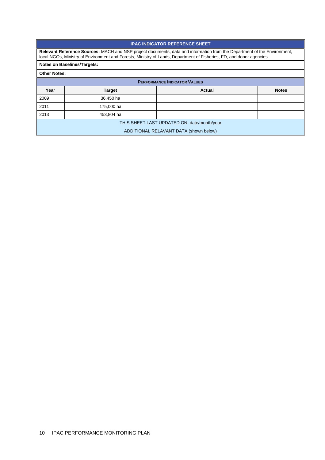#### **IPAC INDICATOR REFERENCE SHEET**

**Relevant Reference Sources:** MACH and NSP project documents, data and information from the Department of the Environment, local NGOs, Ministry of Environment and Forests, Ministry of Lands, Department of Fisheries, FD, and donor agencies

### **Notes on Baselines/Targets:**

| <b>PERFORMANCE INDICATOR VALUES</b>         |               |               |              |  |
|---------------------------------------------|---------------|---------------|--------------|--|
| Year                                        | <b>Target</b> | <b>Actual</b> | <b>Notes</b> |  |
| 2009                                        | 36,450 ha     |               |              |  |
| 2011                                        | 175,000 ha    |               |              |  |
| 2013                                        | 453,804 ha    |               |              |  |
| THIS SHEET LAST UPDATED ON: date/month/year |               |               |              |  |
| ADDITIONAL RELAVANT DATA (shown below)      |               |               |              |  |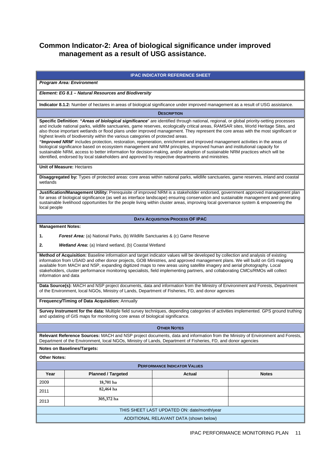## **Common Indicator-2: Area of biological significance under improved management as a result of USG assistance.**

## **IPAC INDICATOR REFERENCE SHEET Program Area: Environment Element: EG 8.1 – Natural Resources and Biodiversity Indicator 8.1.2:** Number of hectares in areas of biological significance under improved management as a result of USG assistance. **DESCRIPTION Specific Definition**: **"Areas of biological significance**" are identified through national, regional, or global priority-setting processes and include national parks, wildlife sanctuaries, game reserves, ecologically critical areas, RAMSAR sites, World Heritage Sites, and also those important wetlands or flood plans under improved management. They represent the core areas with the most significant or highest levels of biodiversity within the various categories of protected areas. **"Improved NRM**" includes protection, restoration, regeneration, enrichment and improved management activities in the areas of biological significance based on ecosystem management and NRM principles, improved human and institutional capacity for sustainable NRM, access to better information for decision-making, and/or adoption of sustainable NRM practices which will be identified, endorsed by local stakeholders and approved by respective departments and ministries. **Unit of Measure:** Hectares **Disaggregated by:** Types of protected areas: core areas within national parks, wildlife sanctuaries, game reserves, inland and coastal wetlands **Justification/Management Utility:** Prerequisite of improved NRM is a stakeholder endorsed, government approved management plan for areas of biological significance (as well as interface landscape) ensuring conservation and sustainable management and generating sustainable livelihood opportunities for the people living within cluster areas, improving local governance system & empowering the local people **DATA ACQUISITION PROCESS OF IPAC Management Notes: 1. Forest Area:** (a) National Parks, (b) Wildlife Sanctuaries & (c) Game Reserve **2. Wetland Area:** (a) Inland wetland, (b) Coastal Wetland **Method of Acquisition:** Baseline information and target indicator values will be developed by collection and analysis of existing information from USAID and other donor projects, GOB Ministries, and approved management plans. We will build on GIS mapping available from MACH and NSP, expanding digitized maps to new areas using satellite imagery and aerial photography. Local stakeholders, cluster performance monitoring specialists, field implementing partners, and collaborating CMCs/RMOs will collect information and data **Data Source(s):** MACH and NSP project documents, data and information from the Ministry of Environment and Forests, Department of the Environment, local NGOs, Ministry of Lands, Department of Fisheries, FD, and donor agencies **Frequency/Timing of Data Acquisition:** Annually **Survey Instrument for the data:** Multiple field survey techniques, depending categories of activities implemented. GPS ground truthing and updating of GIS maps for monitoring core areas of biological significance. **OTHER NOTES Relevant Reference Sources:** MACH and NSP project documents, data and information from the Ministry of Environment and Forests, Department of the Environment, local NGOs, Ministry of Lands, Department of Fisheries, FD, and donor agencies **Notes on Baselines/Targets: Other Notes: PERFORMANCE INDICATOR VALUES Year Planned / Targeted Actual Actual Actual Notes** 2009 **18,701 ha** <sup>2011</sup>**82,464 ha** <sup>2013</sup>**305,372 ha** THIS SHEET LAST UPDATED ON: date/month/year ADDITIONAL RELAVANT DATA (shown below)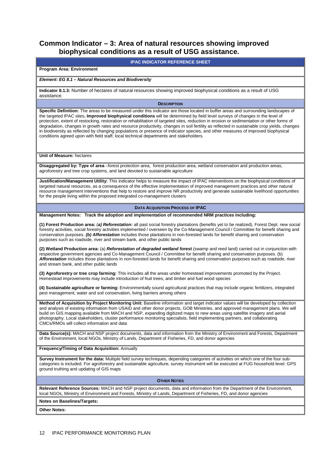## **Common Indicator – 3: Area of natural resources showing improved biophysical conditions as a result of USG assistance.**

#### **IPAC INDICATOR REFERENCE SHEET**

#### **Program Area: Environment**

#### **Element: EG 8.1 – Natural Resources and Biodiversity**

**Indicator 8.1.3:** Number of hectares of natural resources showing improved biophysical conditions as a result of USG assistance.

#### **DESCRIPTION**

**Specific Definition:** The areas to be measured under this indicator are those located in buffer areas and surrounding landscapes of the targeted IPAC sites**. Improved biophysical conditions** will be determined by field level surveys of changes in the level of protection, extent of restocking, restoration or rehabilitation of targeted sites, reduction in erosion or sedimentation or other forms of degradation, changes in growth rates and resource productivity, changes in soil fertility as reflected in sustainable crop yields, changes in biodiversity as reflected by changing populations or presence of indicator species, and other measures of improved biophysical conditions agreed upon with field staff, local technical departments and stakeholders.

**Unit of Measure:** hectares

**Disaggregated by: Type of area** –forest protection area, forest production area, wetland conservation and production areas, agroforestry and tree crop systems, and land devoted to sustainable agriculture

**Justification/Management Utility:** This indicator helps to measure the impact of IPAC interventions on the biophysical conditions of targeted natural resources, as a consequence of the effective implementation of improved management practices and other natural resource management interventions that help to restore and improve NR productivity and generate sustainable livelihood opportunities for the people living within the proposed integrated co-management clusters

#### **DATA ACQUISITION PROCESS OF IPAC**

**Management Notes: Track the adoption and implementation of recommended NRM practices including:**

**(1) Forest Production area:** (**a) Reforestation:** all past social forestry plantations (benefits yet to be realized), Forest Dept. new social forestry activities, social forestry activities implemented / overseen by the Co-Management Council / Committee for benefit sharing and conservation purposes. **(b) Afforestation** includes those plantations in non-forested lands for benefit sharing and conservation purposes such as roadside, river and stream bank, and other public lands

**(2) Wetland Production area:** (a) **Reforestation of degraded wetland forest** (swamp and reed land) carried out in conjunction with respective government agencies and Co-Management Council / Committee for benefit sharing and conservation purposes. (b) **Afforestation** includes those plantations in non-forested lands for benefit sharing and conservation purposes such as roadside, river and stream bank, and other public lands

**(3) Agroforestry or tree crop farming:** This includes all the areas under homestead improvements promoted by the Project. Homestead improvements may include introduction of fruit trees, and timber and fuel wood species

**(4) Sustainable agriculture or farming:** Environmentally sound agricultural practices that may include organic fertilizers, integrated pest management, water and soil conservation, living barriers among others

**Method of Acquisition by Project Monitoring Unit:** Baseline information and target indicator values will be developed by collection and analysis of existing information from USAID and other donor projects, GOB Ministries, and approved management plans. We will build on GIS mapping available from MACH and NSP, expanding digitized maps to new areas using satellite imagery and aerial photography. Local stakeholders, cluster performance monitoring specialists, field implementing partners, and collaborating CMCs/RMOs will collect information and data

**Data Source(s):** MACH and NSP project documents, data and information from the Ministry of Environment and Forests, Department of the Environment, local NGOs, Ministry of Lands, Department of Fisheries, FD, and donor agencies

#### **Frequency/Timing of Data Acquisition:** Annually

**Survey Instrument for the data:** Multiple field survey techniques, depending categories of activities on which one of the four subcategories is included. For agroforestry and sustainable agriculture, survey instrument will be executed at FUG household level. GPS ground truthing and updating of GIS maps

#### **OTHER NOTES**

**Relevant Reference Sources:** MACH and NSP project documents, data and information from the Department of the Environment, local NGOs, Ministry of Environment and Forests, Ministry of Lands, Department of Fisheries, FD, and donor agencies

**Notes on Baselines/Targets:**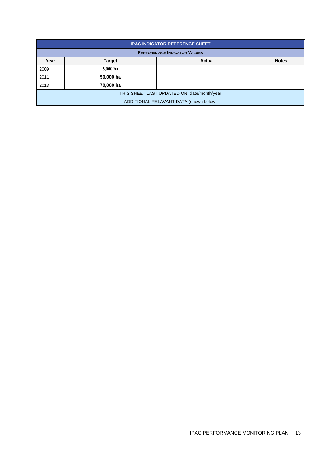| <b>IPAC INDICATOR REFERENCE SHEET</b>       |                                     |        |              |  |  |
|---------------------------------------------|-------------------------------------|--------|--------------|--|--|
|                                             | <b>PERFORMANCE INDICATOR VALUES</b> |        |              |  |  |
| Year                                        | <b>Target</b>                       | Actual | <b>Notes</b> |  |  |
| 2009                                        | 5,000 ha                            |        |              |  |  |
| 2011                                        | 50,000 ha                           |        |              |  |  |
| 2013                                        | 70,000 ha                           |        |              |  |  |
| THIS SHEET LAST UPDATED ON: date/month/year |                                     |        |              |  |  |
| ADDITIONAL RELAVANT DATA (shown below)      |                                     |        |              |  |  |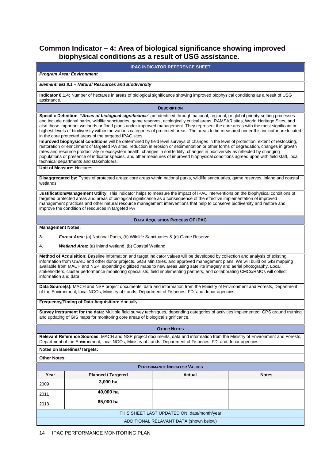## **Common Indicator – 4: Area of biological significance showing improved biophysical conditions as a result of USG assistance.**

**IPAC INDICATOR REFERENCE SHEET** 

#### **Program Area: Environment**

#### **Element: EG 8.1 – Natural Resources and Biodiversity**

**Indicator 8.1.4:** Number of hectares in areas of biological significance showing improved biophysical conditions as a result of USG assistance.

**DESCRIPTION**

**Specific Definition**: **"Areas of biological significance**" are identified through national, regional, or global priority-setting processes and include national parks, wildlife sanctuaries, game reserves, ecologically critical areas, RAMSAR sites, World Heritage Sites, and also those important wetlands or flood plans under improved management. They represent the core areas with the most significant or highest levels of biodiversity within the various categories of protected areas. The areas to be measured under this indicator are located in the core protected areas of the targeted IPAC sites**.** 

**Improved biophysical conditions** will be determined by field level surveys of changes in the level of protection, extent of restocking, restoration or enrichment of targeted PA sites, reduction in erosion or sedimentation or other forms of degradation, changes in growth rates and resource productivity or ecosystem health, changes in soil fertility, changes in biodiversity as reflected by changing populations or presence of indicator species, and other measures of improved biophysical conditions agreed upon with field staff, local technical departments and stakeholders.

**Unit of Measure:** Hectares

**Disaggregated by:** Types of protected areas: core areas within national parks, wildlife sanctuaries, game reserves, inland and coastal wetlands

**Justification/Management Utility:** This indicator helps to measure the impact of IPAC interventions on the biophysical conditions of targeted protected areas and areas of biological significance as a consequence of the effective implementation of improved management practices and other natural resource management interventions that help to conserve biodiversity and restore and improve the condition of resources in targeted PA

#### **DATA ACQUISITION PROCESS OF IPAC**

#### **Management Notes:**

**3. Forest Area:** (a) National Parks, (b) Wildlife Sanctuaries & (c) Game Reserve

**4. Wetland Area:** (a) Inland wetland, (b) Coastal Wetland

**Method of Acquisition:** Baseline information and target indicator values will be developed by collection and analysis of existing information from USAID and other donor projects, GOB Ministries, and approved management plans. We will build on GIS mapping available from MACH and NSP, expanding digitized maps to new areas using satellite imagery and aerial photography. Local stakeholders, cluster performance monitoring specialists, field implementing partners, and collaborating CMCs/RMOs will collect information and data

**Data Source(s):** MACH and NSP project documents, data and information from the Ministry of Environment and Forests, Department of the Environment, local NGOs, Ministry of Lands, Department of Fisheries, FD, and donor agencies

#### **Frequency/Timing of Data Acquisition:** Annually

**Survey Instrument for the data:** Multiple field survey techniques, depending categories of activities implemented. GPS ground truthing and updating of GIS maps for monitoring core areas of biological significance.

**OTHER NOTES**

**Relevant Reference Sources:** MACH and NSP project documents, data and information from the Ministry of Environment and Forests, Department of the Environment, local NGOs, Ministry of Lands, Department of Fisheries, FD, and donor agencies

#### **Notes on Baselines/Targets:**

| <b>PERFORMANCE INDICATOR VALUES</b>         |                           |        |              |  |  |
|---------------------------------------------|---------------------------|--------|--------------|--|--|
| Year                                        | <b>Planned / Targeted</b> | Actual | <b>Notes</b> |  |  |
| 2009                                        | $3,000$ ha                |        |              |  |  |
| 2011                                        | 40,000 ha                 |        |              |  |  |
| 65,000 ha<br>2013                           |                           |        |              |  |  |
| THIS SHEET LAST UPDATED ON: date/month/year |                           |        |              |  |  |
| ADDITIONAL RELAVANT DATA (shown below)      |                           |        |              |  |  |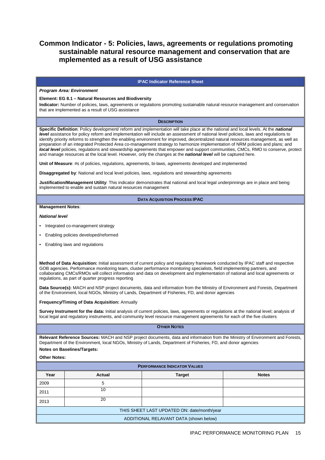## **Common Indicator - 5: Policies, laws, agreements or regulations promoting sustainable natural resource management and conservation that are mplemented as a result of USG assistance**

#### **IPAC Indicator Reference Sheet**

#### **Program Area: Environment**

#### **Element: EG 8.1 – Natural Resources and Biodiversity**

**Indicator:** Number of policies, laws, agreements or regulations promoting sustainable natural resource management and conservation that are implemented as a result of USG assistance

#### **DESCRIPTION**

**Specific Definition**: Policy development/ reform and implementation will take place at the national and local levels. At the **national level** assistance for policy reform and implementation will include an assessment of national level policies, laws and regulations to identify priority reforms to strengthen the enabling environment for improved, decentralized natural resources management, as well as preparation of an integrated Protected Area co-management strategy to harmonize implementation of NRM policies and plans; and **local level** policies, regulations and stewardship agreements that empower and support communities, CMCs, RMO to conserve, protect and manage resources at the local level. However, only the changes at the **national level** will be captured here.

**Unit of Measure**: #s of policies, regulations, agreements, bi-laws, agreements developed and implemented

**Disaggregated by**: National and local level policies, laws, regulations and stewardship agreements

**Justification/Management Utility**: This indicator demonstrates that national and local legal underpinnings are in place and being implemented to enable and sustain natural resources management

#### **DATA ACQUISITION PROCESS IPAC**

#### **Management Notes**:

#### **National level**

- Integrated co-management strategy
- Enabling policies developed/reformed
- Enabling laws and regulations

**Method of Data Acquisition:** Initial assessment of current policy and regulatory framework conducted by IPAC staff and respective GOB agencies. Performance monitoring team, cluster performance monitoring specialists, field implementing partners, and collaborating CMCs/RMOs will collect information and data on development and implementation of national and local agreements or regulations, as part of quarter progress reporting

**Data Source(s):** MACH and NSP project documents, data and information from the Ministry of Environment and Forests, Department of the Environment, local NGOs, Ministry of Lands, Department of Fisheries, FD, and donor agencies

**Frequency/Timing of Data Acquisition:** Annually

**Survey Instrument for the data:** Initial analysis of current policies, laws, agreements or regulations at the national level; analysis of local legal and regulatory instruments, and community level resource management agreements for each of the five clusters

#### **OTHER NOTES**

**Relevant Reference Sources:** MACH and NSP project documents, data and information from the Ministry of Environment and Forests, Department of the Environment, local NGOs, Ministry of Lands, Department of Fisheries, FD, and donor agencies

## **Notes on Baselines/Targets:**

| <b>PERFORMANCE INDICATOR VALUES</b>         |        |               |              |  |  |  |
|---------------------------------------------|--------|---------------|--------------|--|--|--|
| Year                                        | Actual | <b>Target</b> | <b>Notes</b> |  |  |  |
| 2009                                        | 5      |               |              |  |  |  |
| 10<br>2011                                  |        |               |              |  |  |  |
| 20<br>2013                                  |        |               |              |  |  |  |
| THIS SHEET LAST UPDATED ON: date/month/year |        |               |              |  |  |  |
| ADDITIONAL RELAVANT DATA (shown below)      |        |               |              |  |  |  |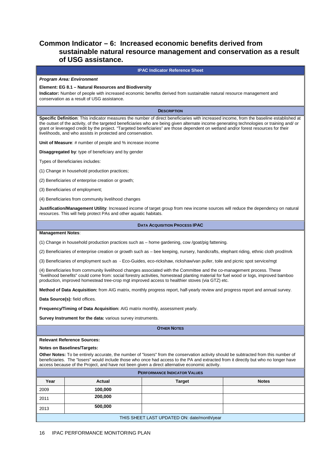## **Common Indicator – 6: Increased economic benefits derived from sustainable natural resource management and conservation as a result of USG assistance.**

#### **IPAC Indicator Reference Sheet**

#### **Program Area: Environment**

#### **Element: EG 8.1 – Natural Resources and Biodiversity**

**Indicator:** Number of people with increased economic benefits derived from sustainable natural resource management and conservation as a result of USG assistance.

**DESCRIPTION**

**Specific Definition**: This indicator measures the number of direct beneficiaries with increased income, from the baseline established at the outset of the activity, of the targeted beneficiaries who are being given alternate income generating technologies or training and/ or grant or leveraged credit by the project. "Targeted beneficiaries" are those dependent on wetland and/or forest resources for their livelihoods, and who assists in protected and conservation.

**Unit of Measure**: # number of people and % increase income

**Disaggregated by**: type of beneficiary and by gender

Types of Beneficiaries includes:

(1) Change in household production practices;

(2) Beneficiaries of enterprise creation or growth;

(3) Beneficiaries of employment;

(4) Beneficiaries from community livelihood changes

**Justification/Management Utility**: Increased income of target group from new income sources will reduce the dependency on natural resources. This will help protect PAs and other aquatic habitats.

#### **DATA ACQUISITION PROCESS IPAC**

#### **Management Notes**:

(1) Change in household production practices such as – home gardening, cow /goat/pig fattening.

(2) Beneficiaries of enterprise creation or growth such as – bee keeping, nursery, handicrafts, elephant riding, ethnic cloth prod/mrk

(3) Beneficiaries of employment such as - Eco-Guides, eco-rickshaw, rickshaw/van puller, toile and picnic spot service/mgt

(4) Beneficiaries from community livelihood changes associated with the Committee and the co-management process. These "livelihood benefits" could come from: social forestry activities, homestead planting material for fuel wood or logs, improved bamboo production, improved homestead tree-crop mgt improved access to healthier stoves (via GTZ) etc.

**Method of Data Acquisition:** from AIG matrix, monthly progress report, half-yearly review and progress report and annual survey.

**Data Source(s):** field offices.

**Frequency/Timing of Data Acquisition:** AIG matrix monthly, assessment yearly.

**Survey Instrument for the data:** various survey instruments.

**OTHER NOTES**

#### **Relevant Reference Sources:**

#### **Notes on Baselines/Targets:**

**Other Notes:** To be entirely accurate, the number of "losers" from the conservation activity should be subtracted from this number of beneficiaries. The "losers" would include those who once had access to the PA and extracted from it directly but who no longer have access because of the Project, and have not been given a direct alternative economic activity.

| <b>PERFORMANCE INDICATOR VALUES</b>         |         |               |              |  |  |
|---------------------------------------------|---------|---------------|--------------|--|--|
| Year                                        | Actual  | <b>Target</b> | <b>Notes</b> |  |  |
| 2009                                        | 100,000 |               |              |  |  |
| 200,000<br>2011                             |         |               |              |  |  |
| 500,000<br>2013                             |         |               |              |  |  |
| THIS SHEET LAST UPDATED ON: date/month/year |         |               |              |  |  |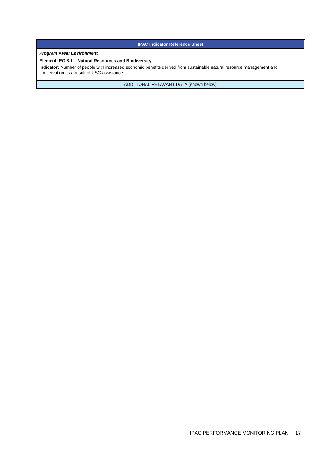**IPAC Indicator Reference Sheet** 

#### **Program Area: Environment**

#### **Element: EG 8.1 – Natural Resources and Biodiversity**

**Indicator:** Number of people with increased economic benefits derived from sustainable natural resource management and conservation as a result of USG assistance.

ADDITIONAL RELAVANT DATA (shown below)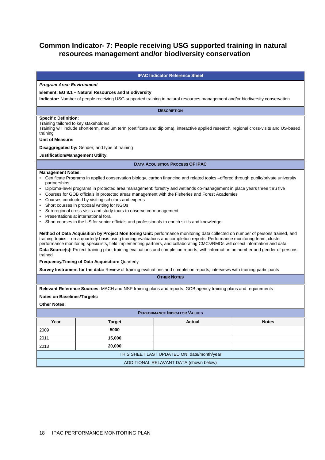## **Common Indicator- 7: People receiving USG supported training in natural resources management and/or biodiversity conservation**

#### **IPAC Indicator Reference Sheet**

#### **Program Area: Environment**

#### **Element: EG 8.1 – Natural Resources and Biodiversity**

**Indicator:** Number of people receiving USG supported training in natural resources management and/or biodiversity conservation

**DESCRIPTION**

#### **Specific Definition:**

Training tailored to key stakeholders

Training will include short-term, medium term (certificate and diploma), interactive applied research, regional cross-visits and US-based training

#### **Unit of Measure:**

**Disaggregated by:** Gender; and type of training

#### **Justification/Management Utility:**

**DATA ACQUISITION PROCESS OF IPAC** 

#### **Management Notes:**

- Certificate Programs in applied conservation biology, carbon financing and related topics –offered through public/private university partnerships
- Diploma-level programs in protected area management: forestry and wetlands co-management in place years three thru five
- Courses for GOB officials in protected areas management with the Fisheries and Forest Academies
- Courses conducted by visiting scholars and experts
- Short courses in proposal writing for NGOs
- Sub-regional cross-visits and study tours to observe co-management
- Presentations at international fora
- Short courses in the US for senior officials and professionals to enrich skills and knowledge

**Method of Data Acquisition by Project Monitoring Unit:** performance monitoring data collected on number of persons trained, and training topics – on a quarterly basis using training evaluations and completion reports. Performance monitoring team, cluster performance monitoring specialists, field implementing partners, and collaborating CMCs/RMOs will collect information and data. **Data Source(s):** Project training plan, training evaluations and completion reports, with information on number and gender of persons trained

**Frequency/Timing of Data Acquisition:** Quarterly

**Survey Instrument for the data:** Review of training evaluations and completion reports; interviews with training participants

**OTHER NOTES**

**Relevant Reference Sources:** MACH and NSP training plans and reports; GOB agency training plans and requirements

**Notes on Baselines/Targets:**

| <b>PERFORMANCE INDICATOR VALUES</b>         |               |        |              |  |
|---------------------------------------------|---------------|--------|--------------|--|
| Year                                        | <b>Target</b> | Actual | <b>Notes</b> |  |
| 2009                                        | 5000          |        |              |  |
| 2011                                        | 15,000        |        |              |  |
| 2013                                        | 20,000        |        |              |  |
| THIS SHEET LAST UPDATED ON: date/month/year |               |        |              |  |
| ADDITIONAL RELAVANT DATA (shown below)      |               |        |              |  |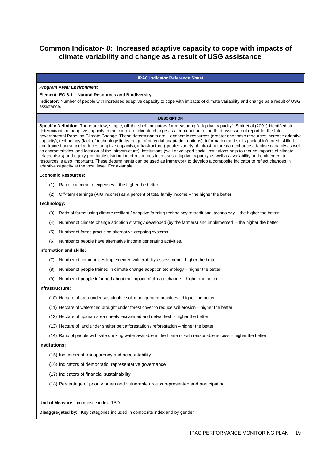## **Common Indicator- 8: Increased adaptive capacity to cope with impacts of climate variability and change as a result of USG assistance**

#### **IPAC Indicator Reference Sheet**

#### **Program Area: Environment**

#### **Element: EG 8.1 – Natural Resources and Biodiversity**

**Indicator:** Number of people with increased adaptive capacity to cope with impacts of climate variability and change as a result of USG assistance.

#### **DESCRIPTION**

**Specific Definition**: There are few, simple, off-the-shelf indicators for measuring "adaptive capacity". Smit et al (2001) identified six determinants of adaptive capacity in the context of climate change as a contribution to the third assessment report for the Intergovernmental Panel on Climate Change. These determinants are – economic resources (greater economic resources increase adaptive capacity), technology (lack of technology limits range of potential adaptation options), information and skills (lack of informed, skilled and trained personnel reduces adaptive capacity), infrastructure (greater variety of infrastructure can enhance adaptive capacity as well as characteristics and location of the infrastructure), institutions (well developed social institutions help to reduce impacts of climate related risks) and equity (equitable distribution of resources increases adaptive capacity as well as availability and entitlement to resources is also important). These determinants can be used as framework to develop a composite indicator to reflect changes in adaptive capacity at the local level. For example:

#### **Economic Resources:**

- (1) Ratio to income to expenses the higher the better
- (2) Off-farm earnings (AIG income) as a percent of total family income the higher the better

#### **Technology:**

- (3) Ratio of farms using climate resilient / adaptive farming technology to traditional technology the higher the better
- (4) Number of climate change adoption strategy developed (by the farmers) and implemented the higher the better
- (5) Number of farms practicing alternative cropping systems
- (6) Number of people have alternative income generating activities.

#### **Information and skills:**

- (7) Number of communities implemented vulnerability assessment higher the better
- (8) Number of people trained in climate change adoption technology higher the better
- (9) Number of people informed about the impact of climate change higher the better

#### **Infrastructure**:

- (10) Hectare of area under sustainable soil management practices higher the better
- (11) Hectare of watershed brought under forest cover to reduce soil erosion higher the better
- (12) Hectare of riparian area / beels excavated and networked higher the better
- (13) Hectare of land under shelter belt afforestation / reforestation higher the better
- (14) Ratio of people with safe drinking water available in the home or with reasonable access higher the better

#### **Institutions:**

.

- (15) Indicators of transparency and accountability
- (16) Indicators of democratic, representative governance
- (17) Indicators of financial sustainability
- (18) Percentage of poor, women and vulnerable groups represented and participating

**Unit of Measure**: composite index, TBD

**Disaggregated by**: Key categories included in composite index and by gender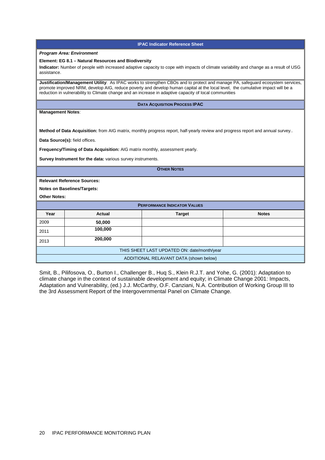| <b>IPAC Indicator Reference Sheet</b>                                                                                                                                                                                                                                                                                                                                       |  |  |  |
|-----------------------------------------------------------------------------------------------------------------------------------------------------------------------------------------------------------------------------------------------------------------------------------------------------------------------------------------------------------------------------|--|--|--|
| <b>Program Area: Environment</b>                                                                                                                                                                                                                                                                                                                                            |  |  |  |
| Element: EG 8.1 - Natural Resources and Biodiversity                                                                                                                                                                                                                                                                                                                        |  |  |  |
| Indicator: Number of people with increased adaptive capacity to cope with impacts of climate variability and change as a result of USG<br>assistance.                                                                                                                                                                                                                       |  |  |  |
| Justification/Management Utility: As IPAC works to strengthen CBOs and to protect and manage PA, safequard ecosystem services,<br>promote improved NRM, develop AIG, reduce poverty and develop human capital at the local level, the cumulative impact will be a<br>reduction in vulnerability to Climate change and an increase in adaptive capacity of local communities |  |  |  |
| <b>DATA ACQUISITION PROCESS IPAC</b>                                                                                                                                                                                                                                                                                                                                        |  |  |  |
| <b>Management Notes:</b>                                                                                                                                                                                                                                                                                                                                                    |  |  |  |
|                                                                                                                                                                                                                                                                                                                                                                             |  |  |  |
| Method of Data Acquisition: from AIG matrix, monthly progress report, half-yearly review and progress report and annual survey                                                                                                                                                                                                                                              |  |  |  |
| Data Source(s): field offices.                                                                                                                                                                                                                                                                                                                                              |  |  |  |
| Frequency/Timing of Data Acquisition: AIG matrix monthly, assessment yearly.                                                                                                                                                                                                                                                                                                |  |  |  |
| Survey Instrument for the data: various survey instruments.                                                                                                                                                                                                                                                                                                                 |  |  |  |
|                                                                                                                                                                                                                                                                                                                                                                             |  |  |  |
| <b>OTHER NOTES</b>                                                                                                                                                                                                                                                                                                                                                          |  |  |  |
| <b>Relevant Reference Sources:</b>                                                                                                                                                                                                                                                                                                                                          |  |  |  |
| <b>Notes on Baselines/Targets:</b>                                                                                                                                                                                                                                                                                                                                          |  |  |  |
| <b>Other Notes:</b>                                                                                                                                                                                                                                                                                                                                                         |  |  |  |
| <b>PERFORMANCE INDICATOR VALUES</b>                                                                                                                                                                                                                                                                                                                                         |  |  |  |
| Year<br><b>Actual</b><br><b>Notes</b><br><b>Target</b>                                                                                                                                                                                                                                                                                                                      |  |  |  |
| 2009<br>50,000                                                                                                                                                                                                                                                                                                                                                              |  |  |  |
| 100,000<br>2011                                                                                                                                                                                                                                                                                                                                                             |  |  |  |
| 200,000<br>2013                                                                                                                                                                                                                                                                                                                                                             |  |  |  |
| THIS SHEET LAST UPDATED ON: date/month/year                                                                                                                                                                                                                                                                                                                                 |  |  |  |
| ADDITIONAL RELAVANT DATA (shown below)                                                                                                                                                                                                                                                                                                                                      |  |  |  |

Smit, B., Pilifosova, O., Burton I., Challenger B., Huq S., Klein R.J.T. and Yohe, G. (2001): Adaptation to climate change in the context of sustainable development and equity; in Climate Change 2001: Impacts, Adaptation and Vulnerability, (ed.) J.J. McCarthy, O.F. Canziani, N.A. Contribution of Working Group III to the 3rd Assessment Report of the Intergovernmental Panel on Climate Change.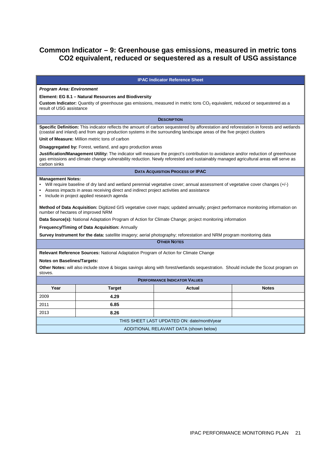## **Common Indicator – 9: Greenhouse gas emissions, measured in metric tons CO2 equivalent, reduced or sequestered as a result of USG assistance**

#### **IPAC Indicator Reference Sheet**

#### **Program Area: Environment**

#### **Element: EG 8.1 – Natural Resources and Biodiversity**

**Custom Indicator:** Quantity of greenhouse gas emissions, measured in metric tons CO<sub>2</sub> equivalent, reduced or sequestered as a result of USG assistance

**DESCRIPTION**

**Specific Definition:** This indicator reflects the amount of carbon sequestered by afforestation and reforestation in forests and wetlands (coastal and inland) and from agro production systems in the surrounding landscape areas of the five project clusters

**Unit of Measure:** Million metric tons of carbon

#### **Disaggregated by:** Forest, wetland, and agro production areas

**Justification/Management Utility:** The indicator will measure the project's contribution to avoidance and/or reduction of greenhouse gas emissions and climate change vulnerability reduction. Newly reforested and sustainably managed agricultural areas will serve as carbon sinks

#### **DATA ACQUISITION PROCESS OF IPAC**

#### **Management Notes:**

- Will require baseline of dry land and wetland perennial vegetative cover; annual assessment of vegetative cover changes (+/-)
- Assess impacts in areas receiving direct and indirect project activities and assistance
- Include in project applied research agenda

**Method of Data Acquisition:** Digitized GIS vegetative cover maps; updated annually; project performance monitoring information on number of hectares of improved NRM

**Data Source(s):** National Adaptation Program of Action for Climate Change: project monitoring information

**Frequency/Timing of Data Acquisition:** Annually

**Survey Instrument for the data:** satellite imagery; aerial photography; reforestation and NRM program monitoring data

**OTHER NOTES**

**Relevant Reference Sources:** National Adaptation Program of Action for Climate Change

#### **Notes on Baselines/Targets:**

**Other Notes:** will also include stove & biogas savings along with forest/wetlands sequestration. Should include the Scout program on stoves.

| <b>PERFORMANCE INDICATOR VALUES</b>         |               |        |              |  |
|---------------------------------------------|---------------|--------|--------------|--|
| Year                                        | <b>Target</b> | Actual | <b>Notes</b> |  |
| 2009                                        | 4.29          |        |              |  |
| 2011                                        | 6.85          |        |              |  |
| 2013                                        | 8.26          |        |              |  |
| THIS SHEET LAST UPDATED ON: date/month/year |               |        |              |  |
| ADDITIONAL RELAVANT DATA (shown below)      |               |        |              |  |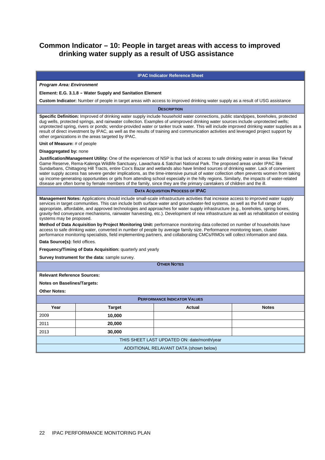## **Common Indicator – 10: People in target areas with access to improved drinking water supply as a result of USG assistance**

#### **IPAC Indicator Reference Sheet**

#### **Program Area: Environment**

## **Element: E.G. 3.1.8 - Water Supply and Sanitation Element**

**Custom Indicator:** Number of people in target areas with access to improved drinking water supply as a result of USG assistance

**DESCRIPTION**

**Specific Definition:** Improved of drinking water supply include household water connections, public standpipes, boreholes, protected dug wells, protected springs, and rainwater collection. Examples of unimproved drinking water sources include unprotected wells; unprotected spring, rivers or ponds; vendor-provided water or tanker truck water. This will include improved drinking water supplies as a result of direct investment by IPAC, as well as the results of training and communication activities and leveraged project support by other organizations in the areas targeted by IPAC.

**Unit of Measure:** # of people

#### **Disaggregated by:** none

**Justification/Management Utility:** One of the experiences of NSP is that lack of access to safe drinking water in areas like Teknaf Game Reserve, Rema-Kalenga Wildlife Sanctuary, Lawachara & Satchari National Park. The proposed areas under IPAC like Sundarbans, Chittagong Hill Tracts, entire Cox's Bazar and wetlands also have limited sources of drinking water. Lack of convenient water supply access has severe gender implications, as the time-intensive pursuit of water collection often prevents women from taking up income-generating opportunities or girls from attending school especially in the hilly regions. Similarly, the impacts of water-related disease are often borne by female members of the family, since they are the primary caretakers of children and the ill.

#### **DATA ACQUISITION PROCESS OF IPAC**

**Management Notes:** Applications should include small-scale infrastructure activities that increase access to improved water supply services in target communities. This can include both surface water and groundwater-fed systems, as well as the full range of appropriate, affordable, and approved technologies and approaches for water supply infrastructure (e.g., boreholes, spring boxes, gravity-fed conveyance mechanisms, rainwater harvesting, etc.). Development of new infrastructure as well as rehabilitation of existing systems may be proposed.

**Method of Data Acquisition by Project Monitoring Unit:** performance monitoring data collected on number of households have access to safe drinking water, converted in number of people by average family size. Performance monitoring team, cluster performance monitoring specialists, field implementing partners, and collaborating CMCs/RMOs will collect information and data.

**Data Source(s):** field offices.

**Frequency/Timing of Data Acquisition:** quarterly and yearly

**Survey Instrument for the data:** sample survey.

**OTHER NOTES**

**Relevant Reference Sources:**

#### **Notes on Baselines/Targets:**

| <b>PERFORMANCE INDICATOR VALUES</b>         |               |               |              |  |
|---------------------------------------------|---------------|---------------|--------------|--|
| Year                                        | <b>Target</b> | <b>Actual</b> | <b>Notes</b> |  |
| 2009                                        | 10,000        |               |              |  |
| 2011                                        | 20,000        |               |              |  |
| 2013                                        | 30,000        |               |              |  |
| THIS SHEET LAST UPDATED ON: date/month/year |               |               |              |  |
| ADDITIONAL RELAVANT DATA (shown below)      |               |               |              |  |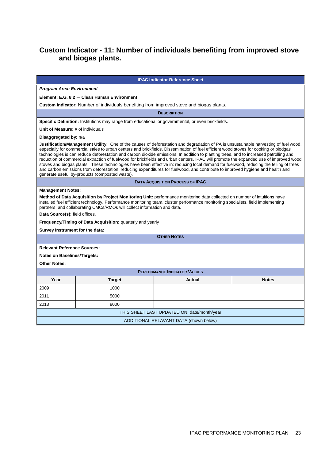## **Custom Indicator - 11: Number of individuals benefiting from improved stove and biogas plants.**

## **IPAC Indicator Reference Sheet Program Area: Environment Element: E.G. 8.2 – Clean Human Environment Custom Indicator:** Number of individuals benefiting from improved stove and biogas plants. **DESCRIPTION Specific Definition:** Institutions may range from educational or governmental, or even brickfields. **Unit of Measure:** # of individuals **Disaggregated by:** n/a **Justification/Management Utility:** One of the causes of deforestation and degradation of PA is unsustainable harvesting of fuel wood, especially for commercial sales to urban centers and brickfields. Dissemination of fuel efficient wood stoves for cooking or biodgas technologies is can reduce deforestation and carbon dioxide emissions. In addition to planting trees, and to increased patrolling and reduction of commercial extraction of fuelwood for brickfields and urban centers, IPAC will promote the expanded use of improved wood stoves and biogas plants. These technologies have been effective in: reducing local demand for fuelwood, reducing the felling of trees and carbon emissions from deforestation, reducing expenditures for fuelwood, and contribute to improved hygiene and health and generate useful by-products (composted waste). **DATA ACQUISITION PROCESS OF IPAC Management Notes: Method of Data Acquisition by Project Monitoring Unit:** performance monitoring data collected on number of intuitions have installed fuel efficient technology. Performance monitoring team, cluster performance monitoring specialists, field implementing partners, and collaborating CMCs/RMOs will collect information and data. **Data Source(s):** field offices. **Frequency/Timing of Data Acquisition:** quarterly and yearly **Survey Instrument for the data: OTHER NOTES Relevant Reference Sources: Notes on Baselines/Targets: Other Notes: PERFORMANCE INDICATOR VALUES Year Target Actual Notes**  2009 1000 2011 5000 2013 8000 THIS SHEET LAST UPDATED ON: date/month/year ADDITIONAL RELAVANT DATA (shown below)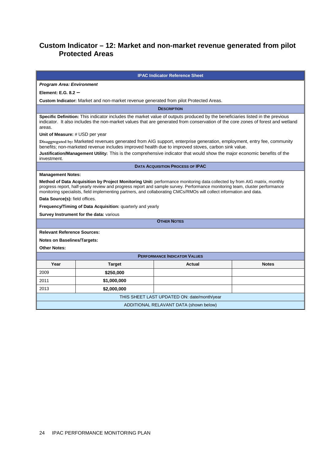## **Custom Indicator – 12: Market and non-market revenue generated from pilot Protected Areas**

| <b>IPAC Indicator Reference Sheet</b>                                                                                                                                                                                                                                                                                                                                          |                                                                                       |                                         |              |  |  |
|--------------------------------------------------------------------------------------------------------------------------------------------------------------------------------------------------------------------------------------------------------------------------------------------------------------------------------------------------------------------------------|---------------------------------------------------------------------------------------|-----------------------------------------|--------------|--|--|
|                                                                                                                                                                                                                                                                                                                                                                                | <b>Program Area: Environment</b>                                                      |                                         |              |  |  |
| Element: E.G. $8.2 -$                                                                                                                                                                                                                                                                                                                                                          |                                                                                       |                                         |              |  |  |
|                                                                                                                                                                                                                                                                                                                                                                                | Custom Indicator: Market and non-market revenue generated from pilot Protected Areas. |                                         |              |  |  |
|                                                                                                                                                                                                                                                                                                                                                                                |                                                                                       | <b>DESCRIPTION</b>                      |              |  |  |
| Specific Definition: This indicator includes the market value of outputs produced by the beneficiaries listed in the previous<br>indicator. It also includes the non-market values that are generated from conservation of the core zones of forest and wetland<br>areas.                                                                                                      |                                                                                       |                                         |              |  |  |
| Unit of Measure: # USD per year                                                                                                                                                                                                                                                                                                                                                |                                                                                       |                                         |              |  |  |
| Disaggregated by: Marketed revenues generated from AIG support, enterprise generation, employment, entry fee, community<br>benefits; non-marketed revenue includes improved health due to improved stoves, carbon sink value.<br>Justification/Management Utility: This is the comprehensive indicator that would show the major economic benefits of the<br>investment.       |                                                                                       |                                         |              |  |  |
|                                                                                                                                                                                                                                                                                                                                                                                |                                                                                       | <b>DATA ACQUISITION PROCESS OF IPAC</b> |              |  |  |
| <b>Management Notes:</b>                                                                                                                                                                                                                                                                                                                                                       |                                                                                       |                                         |              |  |  |
| Method of Data Acquisition by Project Monitoring Unit: performance monitoring data collected by from AIG matrix, monthly<br>progress report, half-yearly review and progress report and sample survey. Performance monitoring team, cluster performance<br>monitoring specialists, field implementing partners, and collaborating CMCs/RMOs will collect information and data. |                                                                                       |                                         |              |  |  |
| Data Source(s): field offices.                                                                                                                                                                                                                                                                                                                                                 |                                                                                       |                                         |              |  |  |
| Frequency/Timing of Data Acquisition: quarterly and yearly                                                                                                                                                                                                                                                                                                                     |                                                                                       |                                         |              |  |  |
| Survey Instrument for the data: various<br><b>OTHER NOTES</b>                                                                                                                                                                                                                                                                                                                  |                                                                                       |                                         |              |  |  |
|                                                                                                                                                                                                                                                                                                                                                                                |                                                                                       |                                         |              |  |  |
| <b>Relevant Reference Sources:</b>                                                                                                                                                                                                                                                                                                                                             |                                                                                       |                                         |              |  |  |
| <b>Notes on Baselines/Targets:</b>                                                                                                                                                                                                                                                                                                                                             |                                                                                       |                                         |              |  |  |
| <b>Other Notes:</b>                                                                                                                                                                                                                                                                                                                                                            |                                                                                       |                                         |              |  |  |
| <b>PERFORMANCE INDICATOR VALUES</b>                                                                                                                                                                                                                                                                                                                                            |                                                                                       |                                         |              |  |  |
| Year                                                                                                                                                                                                                                                                                                                                                                           | <b>Target</b>                                                                         | Actual                                  | <b>Notes</b> |  |  |
| 2009                                                                                                                                                                                                                                                                                                                                                                           | \$250,000                                                                             |                                         |              |  |  |
| 2011                                                                                                                                                                                                                                                                                                                                                                           | \$1,000,000                                                                           |                                         |              |  |  |
| 2013                                                                                                                                                                                                                                                                                                                                                                           | \$2,000,000                                                                           |                                         |              |  |  |
| THIS SHEET LAST UPDATED ON: date/month/year                                                                                                                                                                                                                                                                                                                                    |                                                                                       |                                         |              |  |  |
| ADDITIONAL RELAVANT DATA (shown below)                                                                                                                                                                                                                                                                                                                                         |                                                                                       |                                         |              |  |  |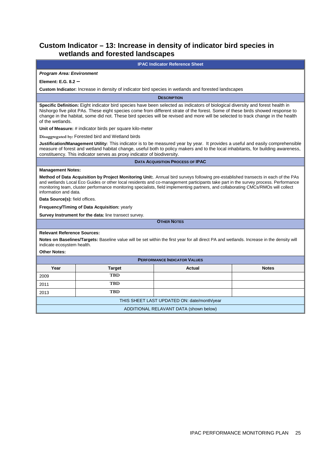## **Custom Indicator – 13: Increase in density of indicator bird species in wetlands and forested landscapes**

| <b>IPAC Indicator Reference Sheet</b>                                                                                                                                                                                                                                                                                                                                                                                                                                                                                                                                                                                                |                                                                                                     |                                         |              |  |
|--------------------------------------------------------------------------------------------------------------------------------------------------------------------------------------------------------------------------------------------------------------------------------------------------------------------------------------------------------------------------------------------------------------------------------------------------------------------------------------------------------------------------------------------------------------------------------------------------------------------------------------|-----------------------------------------------------------------------------------------------------|-----------------------------------------|--------------|--|
| <b>Program Area: Environment</b>                                                                                                                                                                                                                                                                                                                                                                                                                                                                                                                                                                                                     |                                                                                                     |                                         |              |  |
| Element: E.G. $8.2 -$                                                                                                                                                                                                                                                                                                                                                                                                                                                                                                                                                                                                                |                                                                                                     |                                         |              |  |
|                                                                                                                                                                                                                                                                                                                                                                                                                                                                                                                                                                                                                                      | Custom Indicator: Increase in density of indicator bird species in wetlands and forested landscapes |                                         |              |  |
|                                                                                                                                                                                                                                                                                                                                                                                                                                                                                                                                                                                                                                      |                                                                                                     | <b>DESCRIPTION</b>                      |              |  |
| Specific Definition: Eight indicator bird species have been selected as indicators of biological diversity and forest health in<br>Nishorgo five pilot PAs. These eight species come from different strate of the forest. Some of these birds showed response to<br>change in the habitat, some did not. These bird species will be revised and more will be selected to track change in the health<br>of the wetlands.                                                                                                                                                                                                              |                                                                                                     |                                         |              |  |
|                                                                                                                                                                                                                                                                                                                                                                                                                                                                                                                                                                                                                                      | Unit of Measure: # indicator birds per square kilo-meter                                            |                                         |              |  |
|                                                                                                                                                                                                                                                                                                                                                                                                                                                                                                                                                                                                                                      | Disaggregated by: Forested bird and Wetland birds                                                   |                                         |              |  |
| Justification/Management Utility: This indicator is to be measured year by year. It provides a useful and easily comprehensible<br>measure of forest and wetland habitat change, useful both to policy makers and to the local inhabitants, for building awareness,<br>constituency. This indicator serves as proxy indicator of biodiversity.                                                                                                                                                                                                                                                                                       |                                                                                                     |                                         |              |  |
|                                                                                                                                                                                                                                                                                                                                                                                                                                                                                                                                                                                                                                      |                                                                                                     | <b>DATA ACQUISITION PROCESS OF IPAC</b> |              |  |
| <b>Management Notes:</b><br>Method of Data Acquisition by Project Monitoring Unit:. Annual bird surveys following pre-established transects in each of the PAs<br>and wetlands Local Eco Guides or other local residents and co-management participants take part in the survey process. Performance<br>monitoring team, cluster performance monitoring specialists, field implementing partners, and collaborating CMCs/RMOs will collect<br>information and data.<br>Data Source(s): field offices.<br>Frequency/Timing of Data Acquisition: yearly<br>Survey Instrument for the data: line transect survey.<br><b>OTHER NOTES</b> |                                                                                                     |                                         |              |  |
|                                                                                                                                                                                                                                                                                                                                                                                                                                                                                                                                                                                                                                      |                                                                                                     |                                         |              |  |
| <b>Relevant Reference Sources:</b><br>Notes on Baselines/Targets: Baseline value will be set within the first year for all direct PA and wetlands. Increase in the density will<br>indicate ecosystem health.<br><b>Other Notes:</b>                                                                                                                                                                                                                                                                                                                                                                                                 |                                                                                                     |                                         |              |  |
| <b>PERFORMANCE INDICATOR VALUES</b>                                                                                                                                                                                                                                                                                                                                                                                                                                                                                                                                                                                                  |                                                                                                     |                                         |              |  |
| Year                                                                                                                                                                                                                                                                                                                                                                                                                                                                                                                                                                                                                                 | <b>Target</b>                                                                                       | Actual                                  | <b>Notes</b> |  |
| 2009                                                                                                                                                                                                                                                                                                                                                                                                                                                                                                                                                                                                                                 | <b>TBD</b>                                                                                          |                                         |              |  |
| 2011                                                                                                                                                                                                                                                                                                                                                                                                                                                                                                                                                                                                                                 | <b>TBD</b>                                                                                          |                                         |              |  |
| 2013                                                                                                                                                                                                                                                                                                                                                                                                                                                                                                                                                                                                                                 | TBD                                                                                                 |                                         |              |  |
| THIS SHEET LAST UPDATED ON: date/month/year                                                                                                                                                                                                                                                                                                                                                                                                                                                                                                                                                                                          |                                                                                                     |                                         |              |  |
| ADDITIONAL RELAVANT DATA (shown below)                                                                                                                                                                                                                                                                                                                                                                                                                                                                                                                                                                                               |                                                                                                     |                                         |              |  |
|                                                                                                                                                                                                                                                                                                                                                                                                                                                                                                                                                                                                                                      |                                                                                                     |                                         |              |  |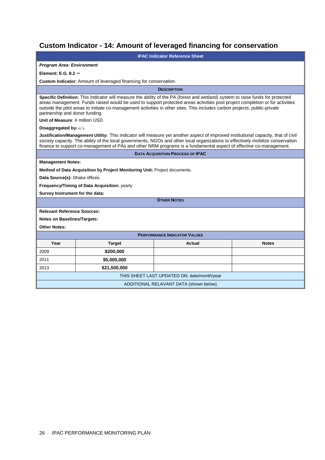# **Custom Indicator - 14: Amount of leveraged financing for conservation**

| <b>IPAC Indicator Reference Sheet</b>                                                                                                                                                                                                                                                                                                                                                                                           |                                                                           |                    |              |
|---------------------------------------------------------------------------------------------------------------------------------------------------------------------------------------------------------------------------------------------------------------------------------------------------------------------------------------------------------------------------------------------------------------------------------|---------------------------------------------------------------------------|--------------------|--------------|
| <b>Program Area: Environment</b>                                                                                                                                                                                                                                                                                                                                                                                                |                                                                           |                    |              |
| Element: E.G. 8.2 -                                                                                                                                                                                                                                                                                                                                                                                                             |                                                                           |                    |              |
|                                                                                                                                                                                                                                                                                                                                                                                                                                 | Custom Indicator: Amount of leveraged financing for conservation.         |                    |              |
|                                                                                                                                                                                                                                                                                                                                                                                                                                 |                                                                           | <b>DESCRIPTION</b> |              |
| Specific Definition: This indicator will measure the ability of the PA (forest and wetland) system to raise funds for protected<br>areas management. Funds raised would be used to support protected areas activities post project completion or for activities<br>outside the pilot areas to initiate co-management activities in other sites. This includes carbon projects, public-private<br>partnership and donor funding. |                                                                           |                    |              |
| Unit of Measure: # million USD                                                                                                                                                                                                                                                                                                                                                                                                  |                                                                           |                    |              |
| Disaggregated by: n/a                                                                                                                                                                                                                                                                                                                                                                                                           |                                                                           |                    |              |
| Justification/Management Utility: This indicator will measure yet another aspect of improved institutional capacity, that of civil<br>society capacity. The ability of the local governments, NGOs and other local organizations to effectively mobilize conservation<br>finance to support co-management of PAs and other NRM programs is a fundamental aspect of effective co-management.                                     |                                                                           |                    |              |
| <b>DATA ACQUISITION PROCESS OF IPAC</b>                                                                                                                                                                                                                                                                                                                                                                                         |                                                                           |                    |              |
| <b>Management Notes:</b>                                                                                                                                                                                                                                                                                                                                                                                                        |                                                                           |                    |              |
|                                                                                                                                                                                                                                                                                                                                                                                                                                 | Method of Data Acquisition by Project Monitoring Unit: Project documents. |                    |              |
| Data Source(s): Dhaka offices.                                                                                                                                                                                                                                                                                                                                                                                                  |                                                                           |                    |              |
|                                                                                                                                                                                                                                                                                                                                                                                                                                 | Frequency/Timing of Data Acquisition: yearly                              |                    |              |
| Survey Instrument for the data:                                                                                                                                                                                                                                                                                                                                                                                                 |                                                                           |                    |              |
|                                                                                                                                                                                                                                                                                                                                                                                                                                 |                                                                           | <b>OTHER NOTES</b> |              |
| <b>Relevant Reference Sources:</b>                                                                                                                                                                                                                                                                                                                                                                                              |                                                                           |                    |              |
| <b>Notes on Baselines/Targets:</b>                                                                                                                                                                                                                                                                                                                                                                                              |                                                                           |                    |              |
| <b>Other Notes:</b>                                                                                                                                                                                                                                                                                                                                                                                                             |                                                                           |                    |              |
| <b>PERFORMANCE INDICATOR VALUES</b>                                                                                                                                                                                                                                                                                                                                                                                             |                                                                           |                    |              |
| Year                                                                                                                                                                                                                                                                                                                                                                                                                            | <b>Target</b>                                                             | Actual             | <b>Notes</b> |
| 2009                                                                                                                                                                                                                                                                                                                                                                                                                            | \$200,000                                                                 |                    |              |
| 2011                                                                                                                                                                                                                                                                                                                                                                                                                            | \$5,000,000                                                               |                    |              |
| 2013                                                                                                                                                                                                                                                                                                                                                                                                                            | \$21,500,000                                                              |                    |              |
| THIS SHEET LAST UPDATED ON: date/month/year                                                                                                                                                                                                                                                                                                                                                                                     |                                                                           |                    |              |
| ADDITIONAL RELAVANT DATA (shown below)                                                                                                                                                                                                                                                                                                                                                                                          |                                                                           |                    |              |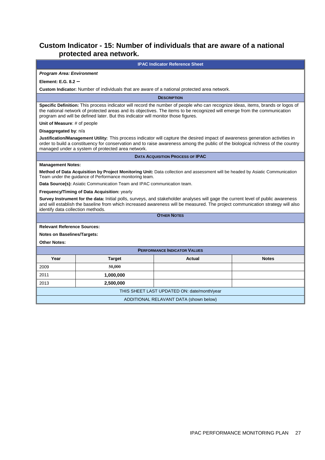## **Custom Indicator - 15: Number of individuals that are aware of a national protected area network.**

| <b>IPAC Indicator Reference Sheet</b>                                                                                                                                                                                                                                                                                                                                                                                                                                                                                                                                                                                                                                                                                                                       |                                                                                                                                                                                                                                                                                                                                                   |                                         |              |  |
|-------------------------------------------------------------------------------------------------------------------------------------------------------------------------------------------------------------------------------------------------------------------------------------------------------------------------------------------------------------------------------------------------------------------------------------------------------------------------------------------------------------------------------------------------------------------------------------------------------------------------------------------------------------------------------------------------------------------------------------------------------------|---------------------------------------------------------------------------------------------------------------------------------------------------------------------------------------------------------------------------------------------------------------------------------------------------------------------------------------------------|-----------------------------------------|--------------|--|
| <b>Program Area: Environment</b>                                                                                                                                                                                                                                                                                                                                                                                                                                                                                                                                                                                                                                                                                                                            |                                                                                                                                                                                                                                                                                                                                                   |                                         |              |  |
| Element: E.G. $8.2 -$                                                                                                                                                                                                                                                                                                                                                                                                                                                                                                                                                                                                                                                                                                                                       |                                                                                                                                                                                                                                                                                                                                                   |                                         |              |  |
|                                                                                                                                                                                                                                                                                                                                                                                                                                                                                                                                                                                                                                                                                                                                                             | Custom Indicator: Number of individuals that are aware of a national protected area network.                                                                                                                                                                                                                                                      |                                         |              |  |
|                                                                                                                                                                                                                                                                                                                                                                                                                                                                                                                                                                                                                                                                                                                                                             |                                                                                                                                                                                                                                                                                                                                                   | <b>DESCRIPTION</b>                      |              |  |
|                                                                                                                                                                                                                                                                                                                                                                                                                                                                                                                                                                                                                                                                                                                                                             | Specific Definition: This process indicator will record the number of people who can recognize ideas, items, brands or logos of<br>the national network of protected areas and its objectives. The items to be recognized will emerge from the communication<br>program and will be defined later. But this indicator will monitor those figures. |                                         |              |  |
| Unit of Measure: # of people                                                                                                                                                                                                                                                                                                                                                                                                                                                                                                                                                                                                                                                                                                                                |                                                                                                                                                                                                                                                                                                                                                   |                                         |              |  |
| Disaggregated by: n/a                                                                                                                                                                                                                                                                                                                                                                                                                                                                                                                                                                                                                                                                                                                                       |                                                                                                                                                                                                                                                                                                                                                   |                                         |              |  |
|                                                                                                                                                                                                                                                                                                                                                                                                                                                                                                                                                                                                                                                                                                                                                             | Justification/Management Utility: This process indicator will capture the desired impact of awareness generation activities in<br>order to build a constituency for conservation and to raise awareness among the public of the biological richness of the country<br>managed under a system of protected area network.                           |                                         |              |  |
|                                                                                                                                                                                                                                                                                                                                                                                                                                                                                                                                                                                                                                                                                                                                                             |                                                                                                                                                                                                                                                                                                                                                   | <b>DATA ACQUISITION PROCESS OF IPAC</b> |              |  |
| <b>Management Notes:</b><br>Method of Data Acquisition by Project Monitoring Unit: Data collection and assessment will be headed by Asiatic Communication<br>Team under the guidance of Performance monitoring team.<br>Data Source(s): Asiatic Communication Team and IPAC communication team.<br>Frequency/Timing of Data Acquisition: yearly<br>Survey Instrument for the data: Initial polls, surveys, and stakeholder analyses will gage the current level of public awareness<br>and will establish the baseline from which increased awareness will be measured. The project communication strategy will also<br>identify data collection methods.<br><b>OTHER NOTES</b><br><b>Relevant Reference Sources:</b><br><b>Notes on Baselines/Targets:</b> |                                                                                                                                                                                                                                                                                                                                                   |                                         |              |  |
| <b>Other Notes:</b><br><b>PERFORMANCE INDICATOR VALUES</b>                                                                                                                                                                                                                                                                                                                                                                                                                                                                                                                                                                                                                                                                                                  |                                                                                                                                                                                                                                                                                                                                                   |                                         |              |  |
| Year                                                                                                                                                                                                                                                                                                                                                                                                                                                                                                                                                                                                                                                                                                                                                        | <b>Target</b>                                                                                                                                                                                                                                                                                                                                     | Actual                                  | <b>Notes</b> |  |
| 2009                                                                                                                                                                                                                                                                                                                                                                                                                                                                                                                                                                                                                                                                                                                                                        | 50,000                                                                                                                                                                                                                                                                                                                                            |                                         |              |  |
| 2011                                                                                                                                                                                                                                                                                                                                                                                                                                                                                                                                                                                                                                                                                                                                                        | 1,000,000                                                                                                                                                                                                                                                                                                                                         |                                         |              |  |
| 2013                                                                                                                                                                                                                                                                                                                                                                                                                                                                                                                                                                                                                                                                                                                                                        | 2,500,000                                                                                                                                                                                                                                                                                                                                         |                                         |              |  |
| THIS SHEET LAST UPDATED ON: date/month/year                                                                                                                                                                                                                                                                                                                                                                                                                                                                                                                                                                                                                                                                                                                 |                                                                                                                                                                                                                                                                                                                                                   |                                         |              |  |
| ADDITIONAL RELAVANT DATA (shown below)                                                                                                                                                                                                                                                                                                                                                                                                                                                                                                                                                                                                                                                                                                                      |                                                                                                                                                                                                                                                                                                                                                   |                                         |              |  |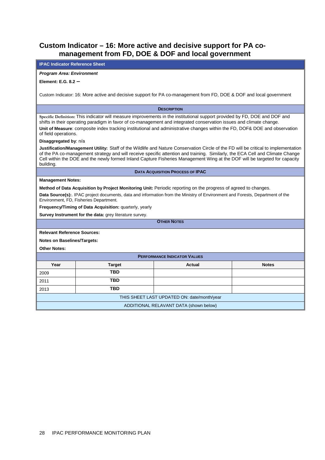## **Custom Indicator – 16: More active and decisive support for PA comanagement from FD, DOE & DOF and local government**

| <b>IPAC Indicator Reference Sheet</b>                                                                                                                                                                                                                                                                                                                                                                   |                                                                                                                                                                                                                                                                                                                                                                                                    |                    |              |  |
|---------------------------------------------------------------------------------------------------------------------------------------------------------------------------------------------------------------------------------------------------------------------------------------------------------------------------------------------------------------------------------------------------------|----------------------------------------------------------------------------------------------------------------------------------------------------------------------------------------------------------------------------------------------------------------------------------------------------------------------------------------------------------------------------------------------------|--------------------|--------------|--|
| <b>Program Area: Environment</b>                                                                                                                                                                                                                                                                                                                                                                        |                                                                                                                                                                                                                                                                                                                                                                                                    |                    |              |  |
| Element: E.G. $8.2 -$                                                                                                                                                                                                                                                                                                                                                                                   |                                                                                                                                                                                                                                                                                                                                                                                                    |                    |              |  |
|                                                                                                                                                                                                                                                                                                                                                                                                         | Custom Indicator: 16: More active and decisive support for PA co-management from FD, DOE & DOF and local government                                                                                                                                                                                                                                                                                |                    |              |  |
|                                                                                                                                                                                                                                                                                                                                                                                                         |                                                                                                                                                                                                                                                                                                                                                                                                    | <b>DESCRIPTION</b> |              |  |
| Specific Definition: This indicator will measure improvements in the institutional support provided by FD, DOE and DOF and<br>shifts in their operating paradigm in favor of co-management and integrated conservation issues and climate change.<br>Unit of Measure: composite index tracking institutional and administrative changes within the FD, DOF& DOE and observation<br>of field operations. |                                                                                                                                                                                                                                                                                                                                                                                                    |                    |              |  |
| Disaggregated by: n/a                                                                                                                                                                                                                                                                                                                                                                                   |                                                                                                                                                                                                                                                                                                                                                                                                    |                    |              |  |
| building.                                                                                                                                                                                                                                                                                                                                                                                               | Justification/Management Utility: Staff of the Wildlife and Nature Conservation Circle of the FD will be critical to implementation<br>of the PA co-management strategy and will receive specific attention and training. Similarly, the ECA Cell and Climate Change<br>Cell within the DOE and the newly formed Inland Capture Fisheries Management Wing at the DOF will be targeted for capacity |                    |              |  |
| <b>DATA ACQUISITION PROCESS OF IPAC</b>                                                                                                                                                                                                                                                                                                                                                                 |                                                                                                                                                                                                                                                                                                                                                                                                    |                    |              |  |
| <b>Management Notes:</b>                                                                                                                                                                                                                                                                                                                                                                                |                                                                                                                                                                                                                                                                                                                                                                                                    |                    |              |  |
| Method of Data Acquisition by Project Monitoring Unit: Periodic reporting on the progress of agreed to changes.<br>Data Source(s):. IPAC project documents, data and information from the Ministry of Environment and Forests, Department of the<br>Environment, FD, Fisheries Department.                                                                                                              |                                                                                                                                                                                                                                                                                                                                                                                                    |                    |              |  |
| Frequency/Timing of Data Acquisition: quarterly, yearly                                                                                                                                                                                                                                                                                                                                                 |                                                                                                                                                                                                                                                                                                                                                                                                    |                    |              |  |
| Survey Instrument for the data: grey literature survey.                                                                                                                                                                                                                                                                                                                                                 |                                                                                                                                                                                                                                                                                                                                                                                                    |                    |              |  |
| <b>OTHER NOTES</b>                                                                                                                                                                                                                                                                                                                                                                                      |                                                                                                                                                                                                                                                                                                                                                                                                    |                    |              |  |
| <b>Relevant Reference Sources:</b>                                                                                                                                                                                                                                                                                                                                                                      |                                                                                                                                                                                                                                                                                                                                                                                                    |                    |              |  |
| <b>Notes on Baselines/Targets:</b>                                                                                                                                                                                                                                                                                                                                                                      |                                                                                                                                                                                                                                                                                                                                                                                                    |                    |              |  |
| <b>Other Notes:</b>                                                                                                                                                                                                                                                                                                                                                                                     |                                                                                                                                                                                                                                                                                                                                                                                                    |                    |              |  |
| <b>PERFORMANCE INDICATOR VALUES</b>                                                                                                                                                                                                                                                                                                                                                                     |                                                                                                                                                                                                                                                                                                                                                                                                    |                    |              |  |
| Year                                                                                                                                                                                                                                                                                                                                                                                                    | <b>Target</b>                                                                                                                                                                                                                                                                                                                                                                                      | Actual             | <b>Notes</b> |  |
| 2009                                                                                                                                                                                                                                                                                                                                                                                                    | TBD                                                                                                                                                                                                                                                                                                                                                                                                |                    |              |  |
| 2011                                                                                                                                                                                                                                                                                                                                                                                                    | <b>TBD</b>                                                                                                                                                                                                                                                                                                                                                                                         |                    |              |  |
| 2013                                                                                                                                                                                                                                                                                                                                                                                                    | TBD                                                                                                                                                                                                                                                                                                                                                                                                |                    |              |  |
| THIS SHEET LAST UPDATED ON: date/month/year                                                                                                                                                                                                                                                                                                                                                             |                                                                                                                                                                                                                                                                                                                                                                                                    |                    |              |  |
| ADDITIONAL RELAVANT DATA (shown below)                                                                                                                                                                                                                                                                                                                                                                  |                                                                                                                                                                                                                                                                                                                                                                                                    |                    |              |  |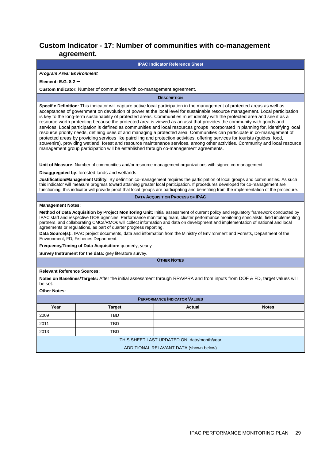## **Custom Indicator - 17: Number of communities with co-management agreement.**

#### **IPAC Indicator Reference Sheet**

#### **Program Area: Environment**

#### **Element: E.G. 8.2 –**

**Custom Indicator:** Number of communities with co-management agreement.

**DESCRIPTION**

**Specific Definition:** This indicator will capture active local participation in the management of protected areas as well as acceptances of government on devolution of power at the local level for sustainable resource management. Local participation is key to the long-term sustainability of protected areas. Communities must identify with the protected area and see it as a resource worth protecting because the protected area is viewed as an asst that provides the community with goods and services. Local participation is defined as communities and local resources groups incorporated in planning for, identifying local resource priority needs, defining uses of and managing a protected area. Communities can participate in co-management of protected areas by providing services like patrolling and protection activities, offering services for tourists (guides, food, souvenirs), providing wetland, forest and resource maintenance services, among other activities. Community and local resource management group participation will be established through co-management agreements.

**Unit of Measure**: Number of communities and/or resource management organizations with signed co-management

**Disaggregated by**: forested lands and wetlands.

**Justification/Management Utility:** By definition co-management requires the participation of local groups and communities. As such this indicator will measure progress toward attaining greater local participation. If procedures developed for co-management are functioning, this indicator will provide proof that local groups are participating and benefiting from the implementation of the procedure.

**DATA ACQUISITION PROCESS OF IPAC** 

#### **Management Notes:**

**Method of Data Acquisition by Project Monitoring Unit:** Initial assessment of current policy and regulatory framework conducted by IPAC staff and respective GOB agencies. Performance monitoring team, cluster performance monitoring specialists, field implementing partners, and collaborating CMCs/RMOs will collect information and data on development and implementation of national and local agreements or regulations, as part of quarter progress reporting.

**Data Source(s):**. IPAC project documents, data and information from the Ministry of Environment and Forests, Department of the Environment, FD, Fisheries Department.

**Frequency/Timing of Data Acquisition:** quarterly, yearly

**Survey Instrument for the data:** grey literature survey.

**OTHER NOTES**

#### **Relevant Reference Sources:**

**Notes on Baselines/Targets:** After the initial assessment through RRA/PRA and from inputs from DOF & FD, target values will be set.

| <b>PERFORMANCE INDICATOR VALUES</b>         |               |               |              |  |
|---------------------------------------------|---------------|---------------|--------------|--|
| Year                                        | <b>Target</b> | <b>Actual</b> | <b>Notes</b> |  |
| 2009                                        | TBD           |               |              |  |
| 2011                                        | TBD           |               |              |  |
| 2013                                        | <b>TBD</b>    |               |              |  |
| THIS SHEET LAST UPDATED ON: date/month/year |               |               |              |  |
| ADDITIONAL RELAVANT DATA (shown below)      |               |               |              |  |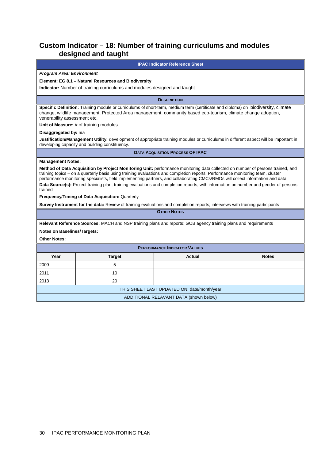## **Custom Indicator – 18: Number of training curriculums and modules designed and taught**

## **IPAC Indicator Reference Sheet Program Area: Environment Element: EG 8.1 – Natural Resources and Biodiversity Indicator:** Number of training curriculums and modules designed and taught **DESCRIPTION Specific Definition:** Training module or curriculums of short-term, medium term (certificate and diploma) on biodiversity, climate change, wildlife management, Protected Area management, community based eco-tourism, climate change adoption, venerability assessment etc. **Unit of Measure: # of training modules Disaggregated by:** n/a **Justification/Management Utility:** development of appropriate training modules or curriculums in different aspect will be important in developing capacity and building constituency. **DATA ACQUISITION PROCESS OF IPAC Management Notes: Method of Data Acquisition by Project Monitoring Unit:** performance monitoring data collected on number of persons trained, and training topics – on a quarterly basis using training evaluations and completion reports. Performance monitoring team, cluster performance monitoring specialists, field implementing partners, and collaborating CMCs/RMOs will collect information and data. **Data Source(s):** Project training plan, training evaluations and completion reports, with information on number and gender of persons trained **Frequency/Timing of Data Acquisition:** Quarterly **Survey Instrument for the data:** Review of training evaluations and completion reports; interviews with training participants **OTHER NOTES Relevant Reference Sources:** MACH and NSP training plans and reports; GOB agency training plans and requirements **Notes on Baselines/Targets: Other Notes: PERFORMANCE INDICATOR VALUES** Year **I** Target **Actual Actual I** Notes 2009 5 2011 10

THIS SHEET LAST UPDATED ON: date/month/year ADDITIONAL RELAVANT DATA (shown below)

2013 20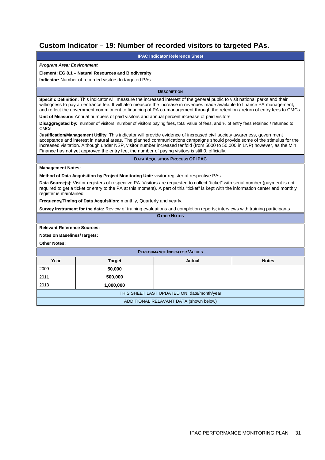## **Custom Indicator – 19: Number of recorded visitors to targeted PAs.**

| Custom mulcator – 19. Number of recorded visitors to largeted FAS.                                                                                                                                                                                                                                                                                                                                                                                                                        |                                                                                               |                                                                                                                                       |              |  |
|-------------------------------------------------------------------------------------------------------------------------------------------------------------------------------------------------------------------------------------------------------------------------------------------------------------------------------------------------------------------------------------------------------------------------------------------------------------------------------------------|-----------------------------------------------------------------------------------------------|---------------------------------------------------------------------------------------------------------------------------------------|--------------|--|
| <b>IPAC Indicator Reference Sheet</b>                                                                                                                                                                                                                                                                                                                                                                                                                                                     |                                                                                               |                                                                                                                                       |              |  |
| <b>Program Area: Environment</b>                                                                                                                                                                                                                                                                                                                                                                                                                                                          |                                                                                               |                                                                                                                                       |              |  |
|                                                                                                                                                                                                                                                                                                                                                                                                                                                                                           | Element: EG 8.1 - Natural Resources and Biodiversity                                          |                                                                                                                                       |              |  |
|                                                                                                                                                                                                                                                                                                                                                                                                                                                                                           | Indicator: Number of recorded visitors to targeted PAs.                                       |                                                                                                                                       |              |  |
|                                                                                                                                                                                                                                                                                                                                                                                                                                                                                           |                                                                                               | <b>DESCRIPTION</b>                                                                                                                    |              |  |
| Specific Definition: This indicator will measure the increased interest of the general public to visit national parks and their<br>willingness to pay an entrance fee. It will also measure the increase in revenues made available to finance PA management,<br>and reflect the government commitment to financing of PA co-management through the retention / return of entry fees to CMCs.                                                                                             |                                                                                               |                                                                                                                                       |              |  |
|                                                                                                                                                                                                                                                                                                                                                                                                                                                                                           | Unit of Measure: Annual numbers of paid visitors and annual percent increase of paid visitors |                                                                                                                                       |              |  |
| <b>CMCs</b>                                                                                                                                                                                                                                                                                                                                                                                                                                                                               |                                                                                               | Disaggregated by: number of visitors, number of visitors paying fees, total value of fees, and % of entry fees retained / returned to |              |  |
| Justification/Management Utility: This indicator will provide evidence of increased civil society awareness, government<br>acceptance and interest in natural areas. The planned communications campaigns should provide some of the stimulus for the<br>increased visitation. Although under NSP, visitor number increased tenfold (from 5000 to 50,000 in LNP) however, as the Min<br>Finance has not yet approved the entry fee, the number of paying visitors is still 0, officially. |                                                                                               |                                                                                                                                       |              |  |
|                                                                                                                                                                                                                                                                                                                                                                                                                                                                                           |                                                                                               | <b>DATA ACQUISITION PROCESS OF IPAC</b>                                                                                               |              |  |
| <b>Management Notes:</b>                                                                                                                                                                                                                                                                                                                                                                                                                                                                  |                                                                                               |                                                                                                                                       |              |  |
|                                                                                                                                                                                                                                                                                                                                                                                                                                                                                           | Method of Data Acquisition by Project Monitoring Unit: visitor register of respective PAs.    |                                                                                                                                       |              |  |
| Data Source(s): Visitor registers of respective PA. Visitors are requested to collect "ticket" with serial number (payment is not<br>required to get a ticket or entry to the PA at this moment). A part of this "ticket" is kept with the information center and monthly<br>register is maintained.                                                                                                                                                                                      |                                                                                               |                                                                                                                                       |              |  |
| <b>Frequency/Timing of Data Acquisition:</b> monthly, Quarterly and yearly.                                                                                                                                                                                                                                                                                                                                                                                                               |                                                                                               |                                                                                                                                       |              |  |
|                                                                                                                                                                                                                                                                                                                                                                                                                                                                                           |                                                                                               | Survey Instrument for the data: Review of training evaluations and completion reports; interviews with training participants          |              |  |
| <b>OTHER NOTES</b>                                                                                                                                                                                                                                                                                                                                                                                                                                                                        |                                                                                               |                                                                                                                                       |              |  |
| <b>Relevant Reference Sources:</b>                                                                                                                                                                                                                                                                                                                                                                                                                                                        |                                                                                               |                                                                                                                                       |              |  |
| <b>Notes on Baselines/Targets:</b>                                                                                                                                                                                                                                                                                                                                                                                                                                                        |                                                                                               |                                                                                                                                       |              |  |
| <b>Other Notes:</b>                                                                                                                                                                                                                                                                                                                                                                                                                                                                       |                                                                                               |                                                                                                                                       |              |  |
|                                                                                                                                                                                                                                                                                                                                                                                                                                                                                           |                                                                                               | <b>PERFORMANCE INDICATOR VALUES</b>                                                                                                   |              |  |
| Year                                                                                                                                                                                                                                                                                                                                                                                                                                                                                      | <b>Target</b>                                                                                 | <b>Actual</b>                                                                                                                         | <b>Notes</b> |  |
| 2009                                                                                                                                                                                                                                                                                                                                                                                                                                                                                      | 50,000                                                                                        |                                                                                                                                       |              |  |
| 2011                                                                                                                                                                                                                                                                                                                                                                                                                                                                                      | 500,000                                                                                       |                                                                                                                                       |              |  |
| 2013                                                                                                                                                                                                                                                                                                                                                                                                                                                                                      | 1,000,000                                                                                     |                                                                                                                                       |              |  |
| THIS SHEET LAST UPDATED ON: date/month/year                                                                                                                                                                                                                                                                                                                                                                                                                                               |                                                                                               |                                                                                                                                       |              |  |
|                                                                                                                                                                                                                                                                                                                                                                                                                                                                                           |                                                                                               | ADDITIONAL RELAVANT DATA (shown below)                                                                                                |              |  |